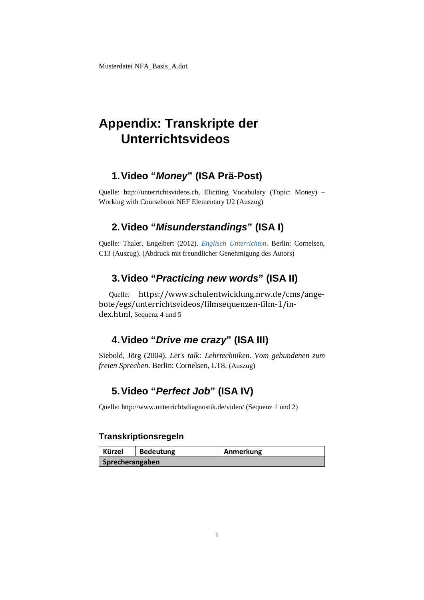## **Appendix: Transkripte der Unterrichtsvideos**

### **1.Video "***Money***" (ISA Prä-Post)**

Quelle: [http://unterrichtsvideos.ch,](http://unterrichtsvideos.ch/) Eliciting Vocabulary (Topic: Money) – Working with Coursebook NEF Elementary U2 (Auszug)

### **2.Video "***Misunderstandings***" (ISA I)**

Quelle: Thaler, Engelbert (2012). *Englisch Unterrichten*. Berlin: Cornelsen, C13 (Auszug). (Abdruck mit freundlicher Genehmigung des Autors)

## **3.Video "***Practicing new words***" (ISA II)**

Quelle: [https://www.schulentwicklung.nrw.de/cms/ange](https://www.schulentwicklung.nrw.de/cms/angebote/egs/unterrichtsvideos/filmsequenzen-film-1/index.html)[bote/egs/unterrichtsvideos/filmsequenzen-film-1/in](https://www.schulentwicklung.nrw.de/cms/angebote/egs/unterrichtsvideos/filmsequenzen-film-1/index.html)[dex.html](https://www.schulentwicklung.nrw.de/cms/angebote/egs/unterrichtsvideos/filmsequenzen-film-1/index.html), Sequenz 4 und 5

## **4.Video "***Drive me crazy***" (ISA III)**

Siebold, Jörg (2004). *Let's talk: Lehrtechniken. Vom gebundenen zum freien Sprechen*. Berlin: Cornelsen, LT8. (Auszug)

## **5.Video "***Perfect Job***" (ISA IV)**

Quelle: http://www.unterrichtsdiagnostik.de/video/ (Sequenz 1 und 2)

#### **Transkriptionsregeln**

| <b>Kürzel</b>   | <b>Bedeutung</b> | Anmerkung |
|-----------------|------------------|-----------|
| Sprecherangaben |                  |           |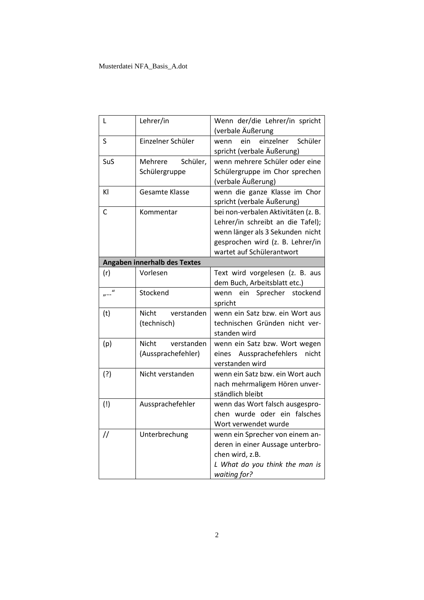| L                 | Lehrer/in                                 | Wenn der/die Lehrer/in spricht<br>(verbale Äußerung                                                                                                                           |
|-------------------|-------------------------------------------|-------------------------------------------------------------------------------------------------------------------------------------------------------------------------------|
| S                 | Einzelner Schüler                         | einzelner<br>ein<br>Schüler<br>wenn<br>spricht (verbale Äußerung)                                                                                                             |
| SuS               | Mehrere<br>Schüler,<br>Schülergruppe      | wenn mehrere Schüler oder eine<br>Schülergruppe im Chor sprechen<br>(verbale Äußerung)                                                                                        |
| ΚI                | Gesamte Klasse                            | wenn die ganze Klasse im Chor<br>spricht (verbale Äußerung)                                                                                                                   |
| C                 | Kommentar                                 | bei non-verbalen Aktivitäten (z. B.<br>Lehrer/in schreibt an die Tafel);<br>wenn länger als 3 Sekunden nicht<br>gesprochen wird (z. B. Lehrer/in<br>wartet auf Schülerantwort |
|                   | <b>Angaben innerhalb des Textes</b>       |                                                                                                                                                                               |
| (r)               | Vorlesen                                  | Text wird vorgelesen (z. B. aus<br>dem Buch, Arbeitsblatt etc.)                                                                                                               |
|                   | Stockend                                  | Sprecher stockend<br>wenn<br>ein<br>spricht                                                                                                                                   |
| (t)               | verstanden<br>Nicht<br>(technisch)        | wenn ein Satz bzw. ein Wort aus<br>technischen Gründen nicht ver-<br>standen wird                                                                                             |
| (p)               | Nicht<br>verstanden<br>(Aussprachefehler) | wenn ein Satz bzw. Wort wegen<br>Aussprachefehlers<br>nicht<br>eines<br>verstanden wird                                                                                       |
| (?)               | Nicht verstanden                          | wenn ein Satz bzw. ein Wort auch<br>nach mehrmaligem Hören unver-<br>ständlich bleibt                                                                                         |
| (!)               | Aussprachefehler                          | wenn das Wort falsch ausgespro-<br>chen wurde oder ein falsches<br>Wort verwendet wurde                                                                                       |
| $^{\prime\prime}$ | Unterbrechung                             | wenn ein Sprecher von einem an-<br>deren in einer Aussage unterbro-<br>chen wird, z.B.<br>L What do you think the man is<br>waiting for?                                      |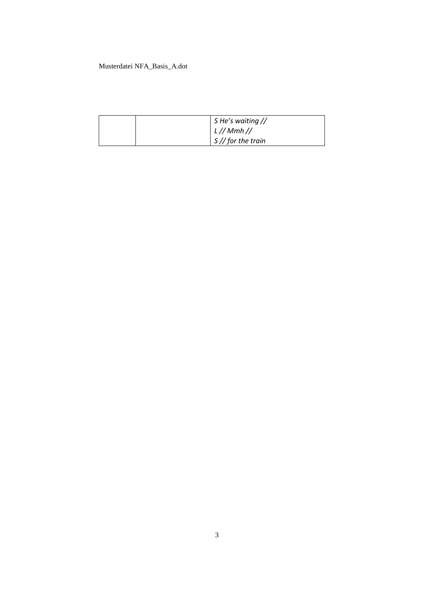| $\frac{1}{2}$ S He's waiting //<br>$\lfloor L \frac{1}{Mm} \rfloor$<br>$S//$ for the train |
|--------------------------------------------------------------------------------------------|
|                                                                                            |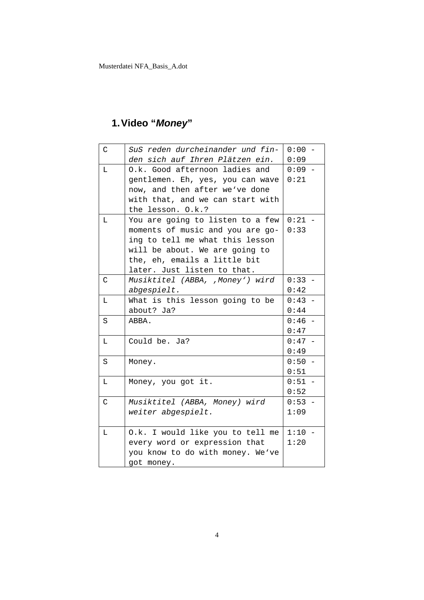## **1.Video "***Money***"**

| C           | SuS reden durcheinander und fin- | $0:00 -$ |
|-------------|----------------------------------|----------|
|             | den sich auf Ihren Plätzen ein.  | 0:09     |
| $\mathbb L$ | O.k. Good afternoon ladies and   | $0:09 -$ |
|             | gentlemen. Eh, yes, you can wave | 0:21     |
|             | now, and then after we've done   |          |
|             | with that, and we can start with |          |
|             | the lesson. O.k.?                |          |
| Г           | You are going to listen to a few | $0:21 -$ |
|             | moments of music and you are go- | 0:33     |
|             | ing to tell me what this lesson  |          |
|             | will be about. We are going to   |          |
|             | the, eh, emails a little bit     |          |
|             | later. Just listen to that.      |          |
| C           | Musiktitel (ABBA, ,Money') wird  | $0:33 -$ |
|             | abgespielt.                      | 0:42     |
| L           | What is this lesson going to be  | $0:43 -$ |
|             | about? Ja?                       | 0:44     |
| S           | ABBA.                            | $0:46 -$ |
|             |                                  | 0:47     |
| L           | Could be. Ja?                    | $0:47 -$ |
|             |                                  | 0:49     |
| S           | Money.                           | $0:50 -$ |
|             |                                  | 0:51     |
| L           | Money, you got it.               | $0:51 -$ |
|             |                                  | 0:52     |
| C           | Musiktitel (ABBA, Money) wird    | $0:53 -$ |
|             | weiter abgespielt.               | 1:09     |
|             |                                  |          |
| L           | O.k. I would like you to tell me | $1:10 -$ |
|             | every word or expression that    | 1:20     |
|             | you know to do with money. We've |          |
|             | got money.                       |          |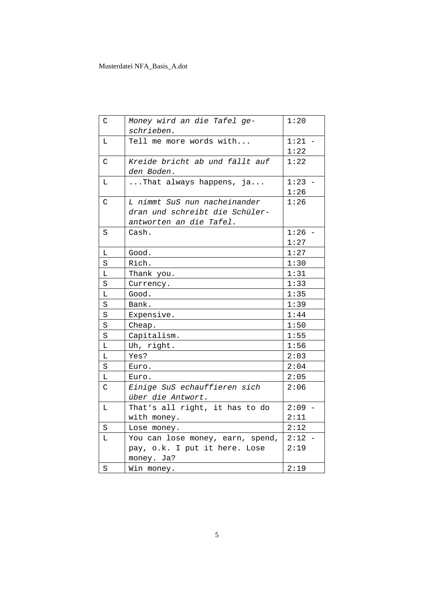| C                       | Money wird an die Tafel ge-<br>schrieben.    | 1:20     |
|-------------------------|----------------------------------------------|----------|
| Г                       | Tell me more words with                      | $1:21 -$ |
|                         |                                              | 1:22     |
| $\mathsf{C}$            | Kreide bricht ab und fällt auf<br>den Boden. | 1:22     |
| $\Gamma$                | That always happens, ja                      | $1:23 -$ |
|                         |                                              | 1:26     |
| C                       | L nimmt SuS nun nacheinander                 | 1:26     |
|                         | dran und schreibt die Schüler-               |          |
|                         | antworten an die Tafel.                      |          |
| S                       | Cash.                                        | $1:26 -$ |
|                         |                                              | 1:27     |
| $\mathbb L$             | Good.                                        | 1:27     |
| $\rm S$                 | Rich.                                        | 1:30     |
| L                       | Thank you.                                   | 1:31     |
| S                       | Currency.                                    | 1:33     |
| L                       | Good.                                        | 1:35     |
| $\rm S$                 | Bank.                                        | 1:39     |
| $\rm S$                 | Expensive.                                   | 1:44     |
| S                       | Cheap.                                       | 1:50     |
| S                       | Capitalism.                                  | 1:55     |
| $\overline{\mathbb{L}}$ | Uh, right.                                   | 1:56     |
| L                       | Yes?                                         | 2:03     |
| $\rm S$                 | Euro.                                        | 2:04     |
| $\mathbb L$             | Euro.                                        | 2:05     |
| C                       | Einige SuS echauffieren sich                 | 2:06     |
|                         | über die Antwort.                            |          |
| L                       | That's all right, it has to do               | $2:09 -$ |
|                         | with money.                                  | 2:11     |
| S                       | Lose money.                                  | 2:12     |
| Г                       | You can lose money, earn, spend,             | $2:12 -$ |
|                         | pay, o.k. I put it here. Lose                | 2:19     |
|                         | money. Ja?                                   |          |
| $\rm S$                 | Win money.                                   | 2:19     |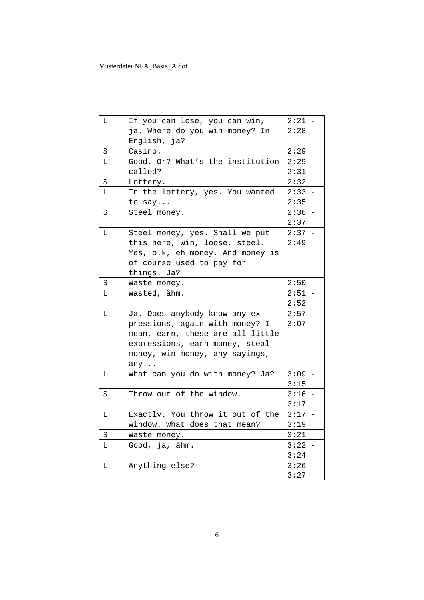| L | If you can lose, you can win,    | $2:21 -$ |
|---|----------------------------------|----------|
|   | ja. Where do you win money? In   | 2:28     |
|   | English, ja?                     |          |
| S | Casino.                          | 2:29     |
| L | Good. Or? What's the institution | $2:29 -$ |
|   | called?                          | 2:31     |
| S | Lottery.                         | 2:32     |
| L | In the lottery, yes. You wanted  | $2:33 -$ |
|   | to say                           | 2:35     |
| S | Steel money.                     | $2:36 -$ |
|   |                                  | 2:37     |
| L | Steel money, yes. Shall we put   | $2:37 -$ |
|   | this here, win, loose, steel.    | 2:49     |
|   | Yes, o.k, eh money. And money is |          |
|   | of course used to pay for        |          |
|   | things. Ja?                      |          |
| S | Waste money.                     | 2:50     |
| Г | Wasted, ähm.                     | $2:51 -$ |
|   |                                  | 2:52     |
| L | Ja. Does anybody know any ex-    | $2:57 -$ |
|   | pressions, again with money? I   | 3:07     |
|   | mean, earn, these are all little |          |
|   | expressions, earn money, steal   |          |
|   | money, win money, any sayings,   |          |
|   | any. $\dots$                     |          |
| L | What can you do with money? Ja?  | $3:09 -$ |
|   |                                  | 3:15     |
| S | Throw out of the window.         | $3:16 -$ |
|   |                                  | 3:17     |
| L | Exactly. You throw it out of the | $3:17 -$ |
|   | window. What does that mean?     | 3:19     |
| S | Waste money.                     | 3:21     |
| L | Good, ja, ähm.                   | $3:22 -$ |
|   |                                  | 3:24     |
| L | Anything else?                   | 3:26     |
|   |                                  | 3:27     |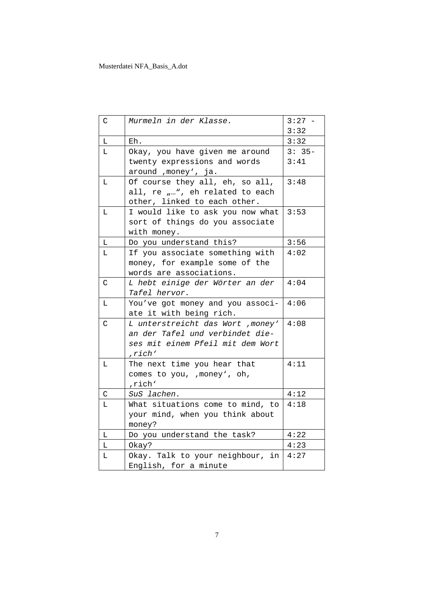| C            | Murmeln in der Klasse.            | $3:27 -$ |
|--------------|-----------------------------------|----------|
|              |                                   | 3:32     |
| L            | Eh.                               | 3:32     |
| L            | Okay, you have given me around    | $3:35-$  |
|              | twenty expressions and words      | 3:41     |
|              | around , money', ja.              |          |
| т.           | Of course they all, eh, so all,   | 3:48     |
|              | all, re "", eh related to each    |          |
|              | other, linked to each other.      |          |
| L            | I would like to ask you now what  | 3:53     |
|              | sort of things do you associate   |          |
|              | with money.                       |          |
| $\mathbf L$  | Do you understand this?           | 3:56     |
| L            | If you associate something with   | 4:02     |
|              | money, for example some of the    |          |
|              | words are associations.           |          |
| C            | L hebt einige der Wörter an der   | 4:04     |
|              | <i>Tafel hervor.</i>              |          |
| L            | You've got money and you associ-  | 4:06     |
|              | ate it with being rich.           |          |
| $\mathsf{C}$ | L unterstreicht das Wort , money' | 4:08     |
|              | an der Tafel und verbindet die-   |          |
|              | ses mit einem Pfeil mit dem Wort  |          |
|              | ,rich'                            |          |
| L            | The next time you hear that       | 4:11     |
|              | comes to you, , money', oh,       |          |
|              | , rich'                           |          |
| C            | SuS lachen.                       | 4:12     |
| L            | What situations come to mind, to  | 4:18     |
|              | your mind, when you think about   |          |
|              | money?                            |          |
| L            | Do you understand the task?       | 4:22     |
| L            | Okay?                             | 4:23     |
| Г            | Okay. Talk to your neighbour, in  | 4:27     |
|              | English, for a minute             |          |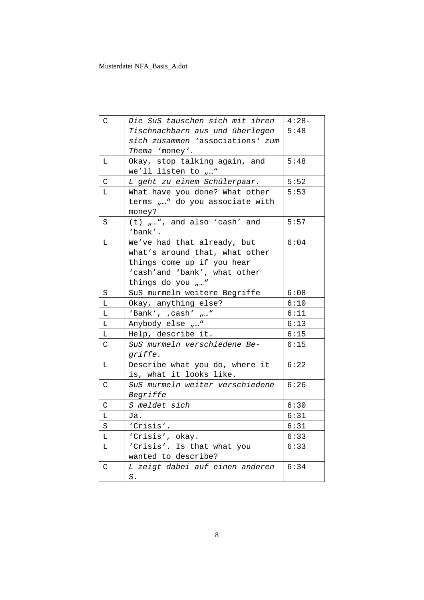| C            | Die SuS tauschen sich mit ihren       | $4:28-$ |
|--------------|---------------------------------------|---------|
|              | Tischnachbarn aus und überlegen       | 5:48    |
|              | sich zusammen 'associations' zum      |         |
|              | Thema 'money'.                        |         |
| L            | Okay, stop talking again, and         | 5:48    |
|              | we'll listen to $\ldots$ "            |         |
| $\mathsf{C}$ | L geht zu einem Schülerpaar.          | 5:52    |
| L            | What have you done? What other        | 5:53    |
|              | terms "" do you associate with        |         |
|              | money?                                |         |
| $\rm S$      | $(t)$ $_{\mu}$ ", and also 'cash' and | 5:57    |
|              | 'bank'.                               |         |
| L            | We've had that already, but           | 6:04    |
|              | what's around that, what other        |         |
|              | things come up if you hear            |         |
|              | 'cash'and 'bank', what other          |         |
|              | things do you ""                      |         |
| S            | SuS murmeln weitere Begriffe          | 6:08    |
| L            | Okay, anything else?                  | 6:10    |
| L            | 'Bank', , cash' $\mu$ "               | 6:11    |
| L            | Anybody else ""                       | 6:13    |
| L            | Help, describe it.                    | 6:15    |
| $\rm C$      | SuS murmeln verschiedene Be-          | 6:15    |
|              | griffe.                               |         |
| L            | Describe what you do, where it        | 6:22    |
|              | is, what it looks like.               |         |
| C            | SuS murmeln weiter verschiedene       | 6:26    |
|              | Begriffe                              |         |
| $\mathsf C$  | S meldet sich                         | 6:30    |
| L            | Ja.                                   | 6:31    |
| S            | 'Crisis'.                             | 6:31    |
| L            | 'Crisis', okay.                       | 6:33    |
| L            | 'Crisis'. Is that what you            | 6:33    |
|              | wanted to describe?                   |         |
| $\mathsf C$  | L zeigt dabei auf einen anderen       | 6:34    |
|              | $S$ .                                 |         |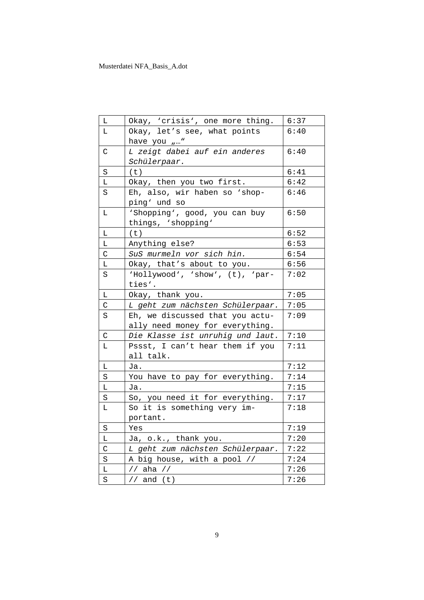| Г              | Okay, 'crisis', one more thing.  | 6:37 |
|----------------|----------------------------------|------|
| L              | Okay, let's see, what points     | 6:40 |
|                | have you ""                      |      |
| С              | L zeigt dabei auf ein anderes    | 6:40 |
|                | Schülerpaar.                     |      |
| S              | (t)                              | 6:41 |
| Г              | Okay, then you two first.        | 6:42 |
| S              | Eh, also, wir haben so 'shop-    | 6:46 |
|                | ping' und so                     |      |
| Г              | 'Shopping', good, you can buy    | 6:50 |
|                | things, 'shopping'               |      |
| Г              | (t)                              | 6:52 |
| Г              | Anything else?                   | 6:53 |
| $\overline{C}$ | SuS murmeln vor sich hin.        | 6:54 |
| L              | Okay, that's about to you.       | 6:56 |
| S              | 'Hollywood', 'show', (t), 'par-  | 7:02 |
|                | ties'.                           |      |
| L              | Okay, thank you.                 | 7:05 |
| C              | L geht zum nächsten Schülerpaar. | 7:05 |
| S              | Eh, we discussed that you actu-  | 7:09 |
|                | ally need money for everything.  |      |
| C              | Die Klasse ist unruhig und laut. | 7:10 |
| L              | Pssst, I can't hear them if you  | 7:11 |
|                | all talk.                        |      |
| г              | Ja.                              | 7:12 |
| $\rm S$        | You have to pay for everything.  | 7:14 |
| Г              | Ja.                              | 7:15 |
| S              | So, you need it for everything.  | 7:17 |
| Г              | So it is something very im-      | 7:18 |
|                | portant.                         |      |
| S              | Yes                              | 7:19 |
| Г              | Ja, o.k., thank you.             | 7:20 |
| $\mathsf C$    | L geht zum nächsten Schülerpaar. | 7:22 |
| $\rm S$        | A big house, with a pool //      | 7:24 |
| L              |                                  | 7:26 |
|                |                                  |      |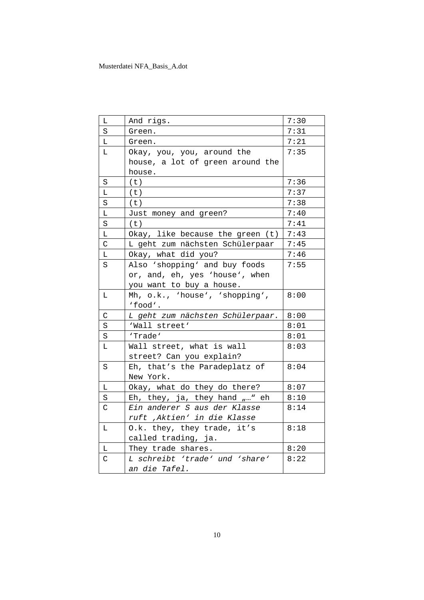| L           | And rigs.                        | 7:30 |
|-------------|----------------------------------|------|
| S           | Green.                           | 7:31 |
| L           | Green.                           | 7:21 |
| L           | Okay, you, you, around the       | 7:35 |
|             | house, a lot of green around the |      |
|             | house.                           |      |
| S           | (t)                              | 7:36 |
| L           | (t)                              | 7:37 |
| $\rm S$     | (t)                              | 7:38 |
| L           | Just money and green?            | 7:40 |
| $\rm S$     | (t)                              | 7:41 |
| L.          | Okay, like because the green (t) | 7:43 |
| C           | L geht zum nächsten Schülerpaar  | 7:45 |
| L           | Okay, what did you?              | 7:46 |
| S           | Also 'shopping' and buy foods    | 7:55 |
|             | or, and, eh, yes 'house', when   |      |
|             | you want to buy a house.         |      |
| L           | Mh, o.k., 'house', 'shopping',   | 8:00 |
|             | 'food'.                          |      |
| C           | L geht zum nächsten Schülerpaar. | 8:00 |
| S           | 'Wall street'                    | 8:01 |
| S           | 'Trade'                          | 8:01 |
| L           | Wall street, what is wall        | 8:03 |
|             | street? Can you explain?         |      |
| S           | Eh, that's the Paradeplatz of    | 8:04 |
|             | New York.                        |      |
| L           | Okay, what do they do there?     | 8:07 |
| S           | Eh, they, ja, they hand "" eh    | 8:10 |
| C           | Ein anderer S aus der Klasse     | 8:14 |
|             | ruft , Aktien' in die Klasse     |      |
| L           | O.k. they, they trade, it's      | 8:18 |
|             | called trading, ja.              |      |
| Г           | They trade shares.               | 8:20 |
| $\mathsf C$ | L schreibt 'trade' und 'share'   | 8:22 |
|             | an die Tafel.                    |      |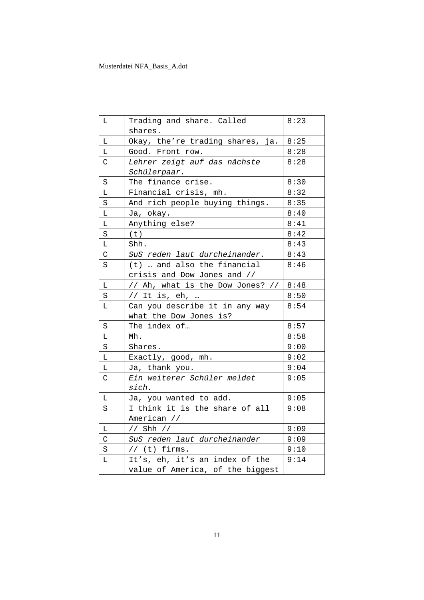| L           | Trading and share. Called        | 8:23 |
|-------------|----------------------------------|------|
|             | shares.                          |      |
| L           | Okay, the're trading shares, ja. | 8:25 |
| Г           | Good. Front row.                 | 8:28 |
| C           | Lehrer zeigt auf das nächste     | 8:28 |
|             | Schülerpaar.                     |      |
| $\rm S$     | The finance crise.               | 8:30 |
| Г           | Financial crisis, mh.            | 8:32 |
| S           | And rich people buying things.   | 8:35 |
| Г           | Ja, okay.                        | 8:40 |
| $\mathbb L$ | Anything else?                   | 8:41 |
| $\rm S$     | (t)                              | 8:42 |
| L           | Shh.                             | 8:43 |
| $\mathsf C$ | SuS reden laut durcheinander.    | 8:43 |
| S           | (t)  and also the financial      | 8:46 |
|             | crisis and Dow Jones and //      |      |
| L           | // Ah, what is the Dow Jones? // | 8:48 |
| S           | // It is, $eh$ , …               | 8:50 |
| Г           | Can you describe it in any way   | 8:54 |
|             | what the Dow Jones is?           |      |
| $\rm S$     | The index of                     | 8:57 |
| L           | Mh.                              | 8:58 |
| S           | Shares.                          | 9:00 |
| L           | Exactly, good, mh.               | 9:02 |
| Г           | Ja, thank you.                   | 9:04 |
| $\mathsf C$ | Ein weiterer Schüler meldet      | 9:05 |
|             | sich.                            |      |
| L           | Ja, you wanted to add.           | 9:05 |
| S           | I think it is the share of all   | 9:08 |
|             | American //                      |      |
| L           | // Shh //                        | 9:09 |
| $\mathsf C$ | SuS reden laut durcheinander     | 9:09 |
| $\rm S$     | $//$ (t) firms.                  | 9:10 |
| L           | It's, eh, it's an index of the   | 9:14 |
|             | value of America, of the biggest |      |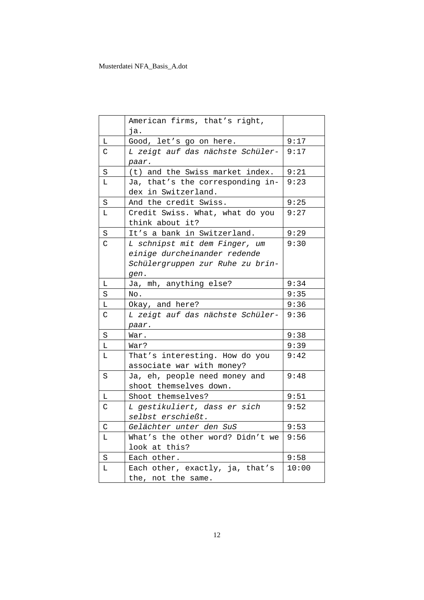|                | American firms, that's right,<br>ja.                                                                      |       |
|----------------|-----------------------------------------------------------------------------------------------------------|-------|
| L              | Good, let's go on here.                                                                                   | 9:17  |
| C              | L zeigt auf das nächste Schüler-<br>paar.                                                                 | 9:17  |
| $\rm S$        | (t) and the Swiss market index.                                                                           | 9:21  |
| L              | Ja, that's the corresponding in-<br>dex in Switzerland.                                                   | 9:23  |
| $\rm S$        | And the credit Swiss.                                                                                     | 9:25  |
| L              | Credit Swiss. What, what do you<br>think about it?                                                        | 9:27  |
| S              | It's a bank in Switzerland.                                                                               | 9:29  |
| $\overline{C}$ | L schnipst mit dem Finger, um<br>einige durcheinander redende<br>Schülergruppen zur Ruhe zu brin-<br>gen. | 9:30  |
| L              | Ja, mh, anything else?                                                                                    | 9:34  |
| S              | No.                                                                                                       | 9:35  |
| L              | Okay, and here?                                                                                           | 9:36  |
| C              | L zeigt auf das nächste Schüler-<br>paar.                                                                 | 9:36  |
| $\rm S$        | War.                                                                                                      | 9:38  |
| L.             | War?                                                                                                      | 9:39  |
| Г              | That's interesting. How do you<br>associate war with money?                                               | 9:42  |
| S              | Ja, eh, people need money and<br>shoot themselves down.                                                   | 9:48  |
| Г              | Shoot themselves?                                                                                         | 9:51  |
| C              | L gestikuliert, dass er sich<br>selbst erschießt.                                                         | 9:52  |
| С              | Gelächter unter den SuS                                                                                   | 9:53  |
| Г              | What's the other word? Didn't we<br>look at this?                                                         | 9:56  |
| $\rm S$        | Each other.                                                                                               | 9:58  |
| L              | Each other, exactly, ja, that's<br>the, not the same.                                                     | 10:00 |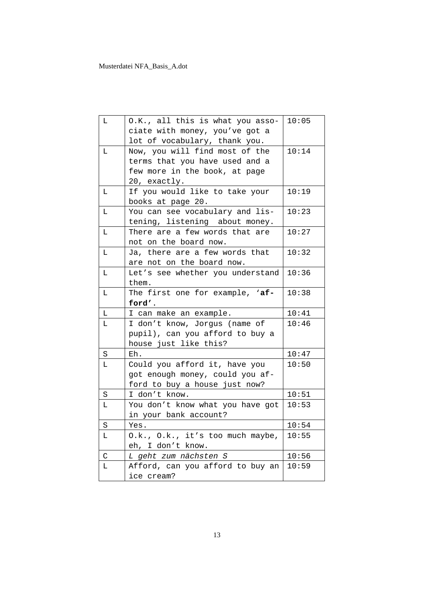| L           | O.K., all this is what you asso-               | 10:05 |
|-------------|------------------------------------------------|-------|
|             | ciate with money, you've got a                 |       |
|             | lot of vocabulary, thank you.                  |       |
| L           | Now, you will find most of the                 | 10:14 |
|             | terms that you have used and a                 |       |
|             | few more in the book, at page                  |       |
|             | 20, exactly.                                   |       |
| L           | If you would like to take your                 | 10:19 |
|             | books at page 20.                              |       |
| L           | You can see vocabulary and lis-                | 10:23 |
|             | tening, listening about money.                 |       |
| L           | There are a few words that are                 | 10:27 |
|             | not on the board now.                          |       |
| L           | Ja, there are a few words that                 | 10:32 |
|             | are not on the board now.                      |       |
| L           | Let's see whether you understand               | 10:36 |
|             | them.                                          |       |
| Г           | The first one for example, 'af-                | 10:38 |
|             |                                                |       |
|             | ford'.                                         |       |
| L           | I can make an example.                         | 10:41 |
| L.          | I don't know, Jorgus (name of                  | 10:46 |
|             | pupil), can you afford to buy a                |       |
|             | house just like this?                          |       |
| $\rm S$     | Eh.                                            | 10:47 |
| L.          | Could you afford it, have you                  | 10:50 |
|             | got enough money, could you af-                |       |
|             | ford to buy a house just now?                  |       |
| $\rm S$     | I don't know.                                  | 10:51 |
| L.          | You don't know what you have got               | 10:53 |
|             | in your bank account?                          |       |
| $\rm S$     | Yes.                                           | 10:54 |
| Г           | O.k., O.k., it's too much maybe,               | 10:55 |
|             | eh, I don't know.                              |       |
| $\mathsf C$ | L geht zum nächsten S                          | 10:56 |
| Г           | Afford, can you afford to buy an<br>ice cream? | 10:59 |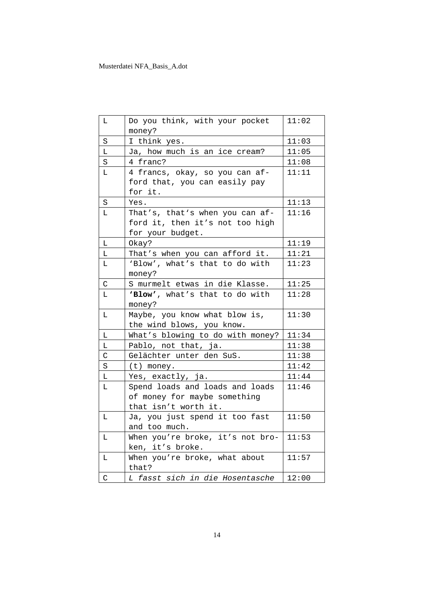| L           | Do you think, with your pocket   | 11:02 |
|-------------|----------------------------------|-------|
|             | money?                           |       |
| $\rm S$     | I think yes.                     | 11:03 |
| Г           | Ja, how much is an ice cream?    | 11:05 |
| S           | 4 franc?                         | 11:08 |
| L.          | 4 francs, okay, so you can af-   | 11:11 |
|             | ford that, you can easily pay    |       |
|             | for it.                          |       |
| $\rm S$     | Yes.                             | 11:13 |
| L           | That's, that's when you can af-  | 11:16 |
|             | ford it, then it's not too high  |       |
|             | for your budget.                 |       |
| L           | Okay?                            | 11:19 |
| L           | That's when you can afford it.   | 11:21 |
| L           | 'Blow', what's that to do with   | 11:23 |
|             | money?                           |       |
| C           | S murmelt etwas in die Klasse.   | 11:25 |
| L           | 'Blow', what's that to do with   | 11:28 |
|             | money?                           |       |
| L           | Maybe, you know what blow is,    | 11:30 |
|             | the wind blows, you know.        |       |
| L           | What's blowing to do with money? | 11:34 |
| L           | Pablo, not that, ja.             | 11:38 |
| C           | Gelächter unter den SuS.         | 11:38 |
| S           | $(t)$ money.                     | 11:42 |
| L           | Yes, exactly, ja.                | 11:44 |
| L           | Spend loads and loads and loads  | 11:46 |
|             | of money for maybe something     |       |
|             | that isn't worth it.             |       |
| L           | Ja, you just spend it too fast   | 11:50 |
|             | and too much.                    |       |
| L           | When you're broke, it's not bro- | 11:53 |
|             | ken, it's broke.                 |       |
| L           | When you're broke, what about    | 11:57 |
|             | that?                            |       |
| $\mathsf C$ | L fasst sich in die Hosentasche  | 12:00 |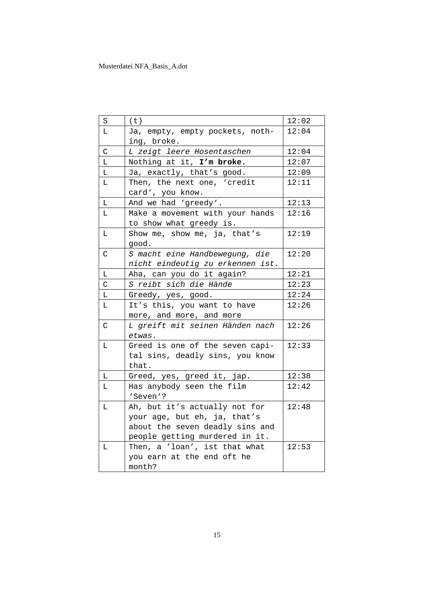| S            | (t)                                                                                                                                                                 | 12:02          |
|--------------|---------------------------------------------------------------------------------------------------------------------------------------------------------------------|----------------|
| L            | Ja, empty, empty pockets, noth-<br>ing, broke.                                                                                                                      | 12:04          |
| $\mathsf C$  | L zeigt leere Hosentaschen                                                                                                                                          | 12:04          |
| L            | Nothing at it, I'm broke.                                                                                                                                           | 12:07          |
| L            | Ja, exactly, that's good.                                                                                                                                           | 12:09          |
| L            | Then, the next one, 'credit<br>card', you know.                                                                                                                     | 12:11          |
| L            | And we had 'greedy'.                                                                                                                                                | 12:13          |
| L.           | Make a movement with your hands<br>to show what greedy is.                                                                                                          | 12:16          |
| $\mathbf L$  | Show me, show me, ja, that's<br>good.                                                                                                                               | 12:19          |
| C            | S macht eine Handbewegung, die<br>nicht eindeutig zu erkennen ist.                                                                                                  | 12:20          |
| L            | Aha, can you do it again?                                                                                                                                           | 12:21          |
| C            | S reibt sich die Hände                                                                                                                                              | 12:23          |
| Г            | Greedy, yes, good.                                                                                                                                                  | 12:24          |
| L            | It's this, you want to have<br>more, and more, and more                                                                                                             | 12:26          |
| $\mathsf{C}$ | L greift mit seinen Händen nach<br>etwas.                                                                                                                           | 12:26          |
| L            | Greed is one of the seven capi-<br>tal sins, deadly sins, you know<br>that.                                                                                         | 12:33          |
| L            | Greed, yes, greed it, jap.                                                                                                                                          | 12:38          |
| L.           | Has anybody seen the film<br>'Seven'?                                                                                                                               | 12:42          |
| L<br>L       | Ah, but it's actually not for<br>your age, but eh, ja, that's<br>about the seven deadly sins and<br>people getting murdered in it.<br>Then, a 'loan', ist that what | 12:48<br>12:53 |
|              | you earn at the end oft he<br>month?                                                                                                                                |                |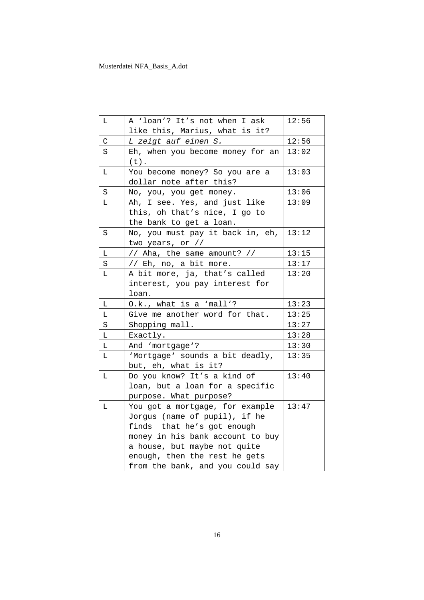| Г | A 'loan'? It's not when I ask               | 12:56 |
|---|---------------------------------------------|-------|
|   | like this, Marius, what is it?              |       |
| С | L zeigt auf einen S.                        | 12:56 |
| S | Eh, when you become money for an<br>$(t)$ . | 13:02 |
| L | You become money? So you are a              | 13:03 |
|   | dollar note after this?                     |       |
| S | No, you, you get money.                     | 13:06 |
| Г | Ah, I see. Yes, and just like               | 13:09 |
|   | this, oh that's nice, I go to               |       |
|   | the bank to get a loan.                     |       |
| S | No, you must pay it back in, eh,            | 13:12 |
|   | two years, or //                            |       |
| L | // Aha, the same amount? //                 | 13:15 |
| S | // Eh, no, a bit more.                      | 13:17 |
| L | A bit more, ja, that's called               | 13:20 |
|   | interest, you pay interest for              |       |
|   | loan.                                       |       |
| L | O.k., what is a 'mall'?                     | 13:23 |
| L | Give me another word for that.              | 13:25 |
| S | Shopping mall.                              | 13:27 |
| L | Exactly.                                    | 13:28 |
| L | And 'mortgage'?                             | 13:30 |
| L | 'Mortgage' sounds a bit deadly,             | 13:35 |
|   | but, eh, what is it?                        |       |
| Г | Do you know? It's a kind of                 | 13:40 |
|   | loan, but a loan for a specific             |       |
|   | purpose. What purpose?                      |       |
| L | You got a mortgage, for example             | 13:47 |
|   | Jorgus (name of pupil), if he               |       |
|   | finds that he's got enough                  |       |
|   | money in his bank account to buy            |       |
|   | a house, but maybe not quite                |       |
|   | enough, then the rest he gets               |       |
|   | from the bank, and you could say            |       |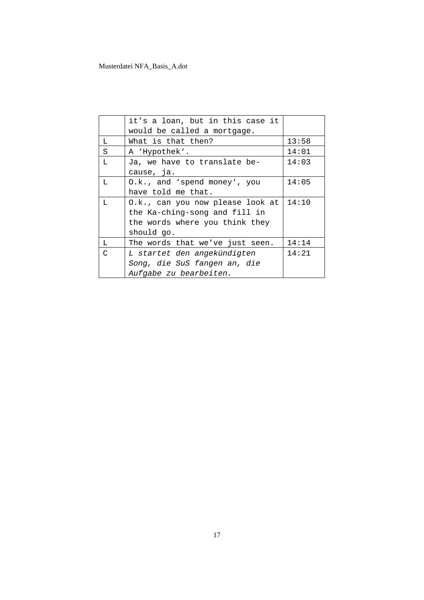|   | it's a loan, but in this case it<br>would be called a mortgage. |       |
|---|-----------------------------------------------------------------|-------|
| L | What is that then?                                              | 13:58 |
| S | A 'Hypothek'.                                                   | 14:01 |
| L | Ja, we have to translate be-                                    | 14:03 |
|   | cause, ja.                                                      |       |
| L | 0.k., and 'spend money', you                                    | 14:05 |
|   | have told me that.                                              |       |
| L | 0.k., can you now please look at                                | 14:10 |
|   | the Ka-ching-song and fill in                                   |       |
|   | the words where you think they                                  |       |
|   | should go.                                                      |       |
| L | The words that we've just seen.                                 | 14:14 |
| C | L startet den angekündigten                                     | 14:21 |
|   | Song, die SuS fangen an, die                                    |       |
|   | Aufgabe zu bearbeiten.                                          |       |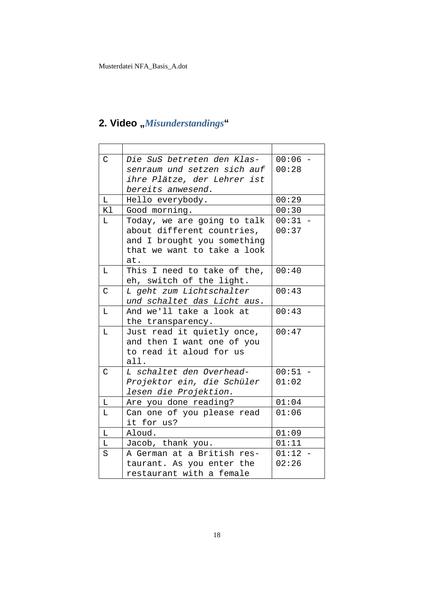## 2. Video "Misunderstandings"

| C             | Die SuS betreten den Klas-  | $00:06 -$ |
|---------------|-----------------------------|-----------|
|               | senraum und setzen sich auf | 00:28     |
|               | ihre Plätze, der Lehrer ist |           |
|               | bereits anwesend.           |           |
| L             | Hello everybody.            | 00:29     |
| Κl            | Good morning.               | 00:30     |
| L             | Today, we are going to talk | $00:31 -$ |
|               | about different countries,  | 00:37     |
|               | and I brought you something |           |
|               | that we want to take a look |           |
|               | at.                         |           |
| L             | This I need to take of the, | 00:40     |
|               | eh, switch of the light.    |           |
| $\mathcal{C}$ | L geht zum Lichtschalter    | 00:43     |
|               | und schaltet das Licht aus. |           |
| L             | And we'll take a look at    | 00:43     |
|               | the transparency.           |           |
| L             | Just read it quietly once,  | 00:47     |
|               | and then I want one of you  |           |
|               | to read it aloud for us     |           |
|               | all.                        |           |
| C             | L schaltet den Overhead-    | $00:51 -$ |
|               | Projektor ein, die Schüler  | 01:02     |
|               | lesen die Projektion.       |           |
| Г             | Are you done reading?       | 01:04     |
| L             | Can one of you please read  | 01:06     |
|               | it for us?                  |           |
| L             | Aloud.                      | 01:09     |
| Г             | Jacob, thank you.           | 01:11     |
| S             | A German at a British res-  | $01:12 -$ |
|               | taurant. As you enter the   | 02:26     |
|               | restaurant with a female    |           |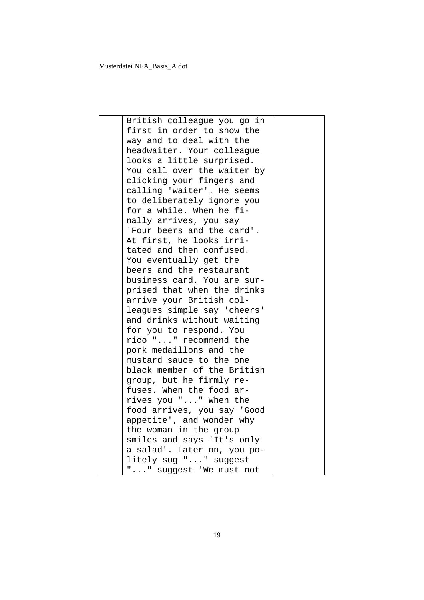| British colleague you go in |  |
|-----------------------------|--|
| first in order to show the  |  |
| way and to deal with the    |  |
| headwaiter. Your colleague  |  |
| looks a little surprised.   |  |
| You call over the waiter by |  |
| clicking your fingers and   |  |
| calling 'waiter'. He seems  |  |
| to deliberately ignore you  |  |
| for a while. When he fi-    |  |
| nally arrives, you say      |  |
| 'Four beers and the card'.  |  |
| At first, he looks irri-    |  |
| tated and then confused.    |  |
| You eventually get the      |  |
| beers and the restaurant    |  |
| business card. You are sur- |  |
| prised that when the drinks |  |
| arrive your British col-    |  |
| leagues simple say 'cheers' |  |
| and drinks without waiting  |  |
| for you to respond. You     |  |
| rico "" recommend the       |  |
| pork medaillons and the     |  |
| mustard sauce to the one    |  |
| black member of the British |  |
| group, but he firmly re-    |  |
| fuses. When the food ar-    |  |
| rives you "" When the       |  |
| food arrives, you say 'Good |  |
| appetite', and wonder why   |  |
| the woman in the group      |  |
| smiles and says 'It's only  |  |
| a salad'. Later on, you po- |  |
| litely sug "" suggest       |  |
| "" suggest 'We must not     |  |
|                             |  |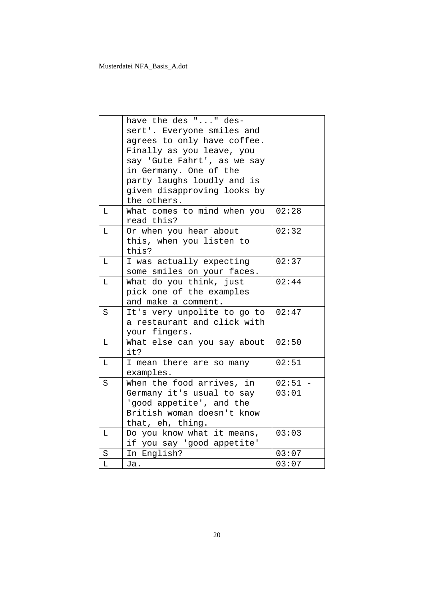|   | have the des "" des-<br>sert'. Everyone smiles and<br>agrees to only have coffee.<br>Finally as you leave, you<br>say 'Gute Fahrt', as we say<br>in Germany. One of the<br>party laughs loudly and is |                    |
|---|-------------------------------------------------------------------------------------------------------------------------------------------------------------------------------------------------------|--------------------|
|   | given disapproving looks by<br>the others.                                                                                                                                                            |                    |
| L | What comes to mind when you<br>read this?                                                                                                                                                             | 02:28              |
| L | Or when you hear about<br>this, when you listen to<br>this?                                                                                                                                           | 02:32              |
| L | I was actually expecting<br>some smiles on your faces.                                                                                                                                                | 02:37              |
| L | What do you think, just<br>pick one of the examples<br>and make a comment.                                                                                                                            | 02:44              |
| S | It's very unpolite to go to<br>a restaurant and click with<br>your fingers.                                                                                                                           | 02:47              |
| L | What else can you say about<br>it?                                                                                                                                                                    | 02:50              |
| L | I mean there are so many<br>examples.                                                                                                                                                                 | 02:51              |
| S | When the food arrives, in<br>Germany it's usual to say<br>'good appetite', and the<br>British woman doesn't know<br>that, eh, thing.                                                                  | $02:51 -$<br>03:01 |
| L | Do you know what it means,<br>if you say 'good appetite'                                                                                                                                              | 03:03              |
| S | In English?                                                                                                                                                                                           | 03:07              |
| L | Ja.                                                                                                                                                                                                   | 03:07              |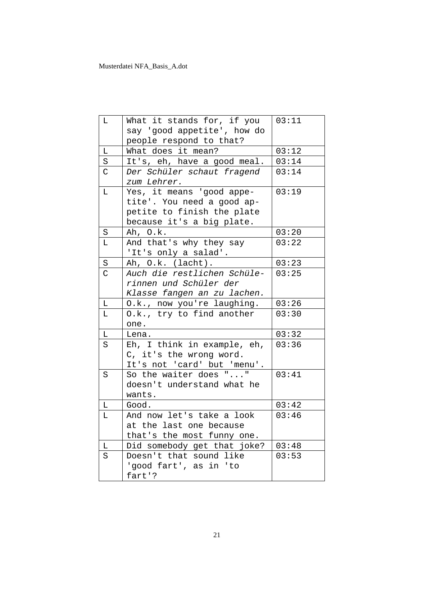| L              | What it stands for, if you  | 03:11 |
|----------------|-----------------------------|-------|
|                | say 'good appetite', how do |       |
|                | people respond to that?     |       |
| Г              | What does it mean?          | 03:12 |
| $\rm S$        | It's, eh, have a good meal. | 03:14 |
| $\mathsf{C}$   | Der Schüler schaut fragend  | 03:14 |
|                | zum Lehrer.                 |       |
| L              | Yes, it means 'good appe-   | 03:19 |
|                | tite'. You need a good ap-  |       |
|                | petite to finish the plate  |       |
|                | because it's a big plate.   |       |
| S              | Ah, O.k.                    | 03:20 |
| Г              | And that's why they say     | 03:22 |
|                | 'It's only a salad'.        |       |
| S              | Ah, O.k. (lacht).           | 03:23 |
| $\overline{C}$ | Auch die restlichen Schüle- | 03:25 |
|                | rinnen und Schüler der      |       |
|                | Klasse fangen an zu lachen. |       |
|                | O.k., now you're laughing.  | 03:26 |
| L              |                             |       |
| Г              | O.k., try to find another   | 03:30 |
|                | one.                        |       |
| Г              | Lena.                       | 03:32 |
| S              | Eh, I think in example, eh, | 03:36 |
|                | C, it's the wrong word.     |       |
|                | It's not 'card' but 'menu'. |       |
| S              | So the waiter does ""       | 03:41 |
|                | doesn't understand what he  |       |
|                | wants.                      |       |
| L              | Good.                       | 03:42 |
| L              | And now let's take a look   | 03:46 |
|                | at the last one because     |       |
|                | that's the most funny one.  |       |
| L              | Did somebody get that joke? | 03:48 |
| S              | Doesn't that sound like     | 03:53 |
|                | 'good fart', as in 'to      |       |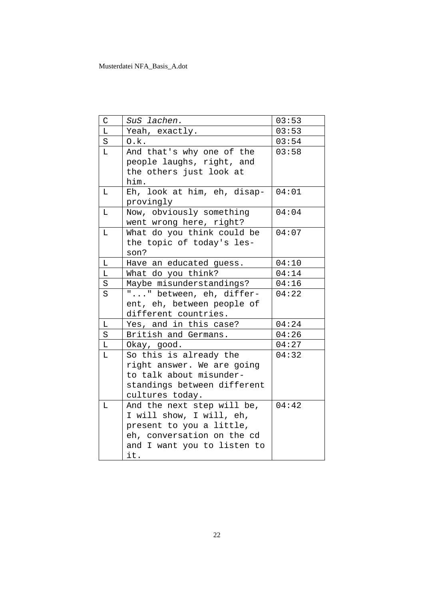| C        | SuS lachen.                 | 03:53 |
|----------|-----------------------------|-------|
| L        | Yeah, exactly.              | 03:53 |
| S        | 0.k.                        | 03:54 |
| $\Gamma$ | And that's why one of the   | 03:58 |
|          | people laughs, right, and   |       |
|          | the others just look at     |       |
|          | him.                        |       |
| L        | Eh, look at him, eh, disap- | 04:01 |
|          | provingly                   |       |
| Г        | Now, obviously something    | 04:04 |
|          | went wrong here, right?     |       |
| L        | What do you think could be  | 04:07 |
|          | the topic of today's les-   |       |
|          | son?                        |       |
| L        | Have an educated guess.     | 04:10 |
| L        | What do you think?          | 04:14 |
| S        | Maybe misunderstandings?    | 04:16 |
| S        | "" between, eh, differ-     | 04:22 |
|          | ent, eh, between people of  |       |
|          | different countries.        |       |
| Г        | Yes, and in this case?      | 04:24 |
| S        | British and Germans.        | 04:26 |
| L        | Okay, good.                 | 04:27 |
| $\Gamma$ | So this is already the      | 04:32 |
|          | right answer. We are going  |       |
|          | to talk about misunder-     |       |
|          | standings between different |       |
|          | cultures today.             |       |
| L        | And the next step will be,  | 04:42 |
|          | I will show, I will, eh,    |       |
|          | present to you a little,    |       |
|          | eh, conversation on the cd  |       |
|          | and I want you to listen to |       |
|          | it.                         |       |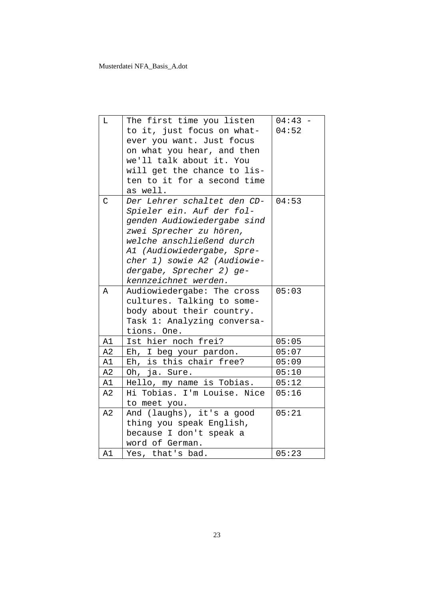| $\mathbb L$   | The first time you listen   | $04:43 -$ |
|---------------|-----------------------------|-----------|
|               | to it, just focus on what-  | 04:52     |
|               | ever you want. Just focus   |           |
|               | on what you hear, and then  |           |
|               | we'll talk about it. You    |           |
|               | will get the chance to lis- |           |
|               | ten to it for a second time |           |
|               | as well.                    |           |
| $\mathcal{C}$ | Der Lehrer schaltet den CD- | 04:53     |
|               | Spieler ein. Auf der fol-   |           |
|               | genden Audiowiedergabe sind |           |
|               | zwei Sprecher zu hören,     |           |
|               | welche anschließend durch   |           |
|               | A1 (Audiowiedergabe, Spre-  |           |
|               | cher 1) sowie A2 (Audiowie- |           |
|               | dergabe, Sprecher 2) ge-    |           |
|               | kennzeichnet werden.        |           |
| A             | Audiowiedergabe: The cross  | 05:03     |
|               | cultures. Talking to some-  |           |
|               | body about their country.   |           |
|               | Task 1: Analyzing conversa- |           |
|               | tions. One.                 |           |
| A1            | Ist hier noch frei?         | 05:05     |
| A2            | Eh, I beg your pardon.      | 05:07     |
| A1            | Eh, is this chair free?     | 05:09     |
| A2            | Oh, ja. Sure.               | 05:10     |
| A1            | Hello, my name is Tobias.   | 05:12     |
| A2            | Hi Tobias. I'm Louise. Nice | 05:16     |
|               | to meet you.                |           |
| A2            | And (laughs), it's a good   | 05:21     |
|               | thing you speak English,    |           |
|               | because I don't speak a     |           |
|               | word of German.             |           |
| A1            | Yes, that's bad.            | 05:23     |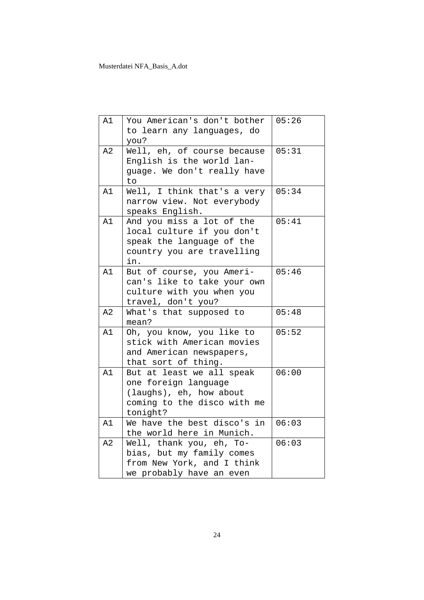| A1 | You American's don't bother<br>to learn any languages, do<br>you?                                                         | 05:26 |
|----|---------------------------------------------------------------------------------------------------------------------------|-------|
| A2 | Well, eh, of course because<br>English is the world lan-<br>guage. We don't really have<br>to                             | 05:31 |
| A1 | Well, I think that's a very<br>narrow view. Not everybody<br>speaks English.                                              | 05:34 |
| A1 | And you miss a lot of the<br>local culture if you don't<br>speak the language of the<br>country you are travelling<br>in. | 05:41 |
| A1 | But of course, you Ameri-<br>can's like to take your own<br>culture with you when you<br>travel, don't you?               | 05:46 |
| A2 | What's that supposed to<br>mean?                                                                                          | 05:48 |
| A1 | Oh, you know, you like to<br>stick with American movies<br>and American newspapers,<br>that sort of thing.                | 05:52 |
| A1 | But at least we all speak<br>one foreign language<br>(laughs), eh, how about<br>coming to the disco with me<br>tonight?   | 06:00 |
| A1 | We have the best disco's in<br>the world here in Munich.                                                                  | 06:03 |
| A2 | Well, thank you, eh, To-<br>bias, but my family comes<br>from New York, and I think<br>we probably have an even           | 06:03 |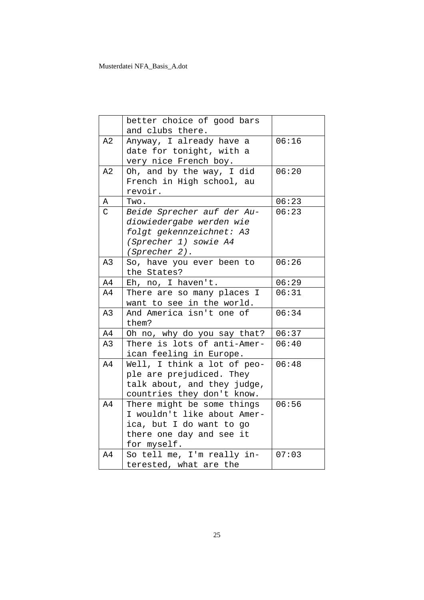|                | better choice of good bars  |       |
|----------------|-----------------------------|-------|
|                | and clubs there.            |       |
| A2             | Anyway, I already have a    | 06:16 |
|                | date for tonight, with a    |       |
|                | very nice French boy.       |       |
| A2             | Oh, and by the way, I did   | 06:20 |
|                | French in High school, au   |       |
|                | revoir.                     |       |
| Α              | Two.                        | 06:23 |
| $\overline{C}$ | Beide Sprecher auf der Au-  | 06:23 |
|                | diowiedergabe werden wie    |       |
|                | folgt gekennzeichnet: A3    |       |
|                | (Sprecher 1) sowie A4       |       |
|                | (Sprecher 2).               |       |
| A3             | So, have you ever been to   | 06:26 |
|                | the States?                 |       |
| A4             | Eh, no, I haven't.          | 06:29 |
| A4             | There are so many places I  | 06:31 |
|                | want to see in the world.   |       |
| A3             | And America isn't one of    | 06:34 |
|                | them?                       |       |
| A4             | Oh no, why do you say that? | 06:37 |
| A3             | There is lots of anti-Amer- | 06:40 |
|                | ican feeling in Europe.     |       |
| A4             | Well, I think a lot of peo- | 06:48 |
|                | ple are prejudiced. They    |       |
|                | talk about, and they judge, |       |
|                | countries they don't know.  |       |
| A4             | There might be some things  | 06:56 |
|                | I wouldn't like about Amer- |       |
|                | ica, but I do want to go    |       |
|                | there one day and see it    |       |
|                | for myself.                 |       |
| A4             | So tell me, I'm really in-  | 07:03 |
|                | terested, what are the      |       |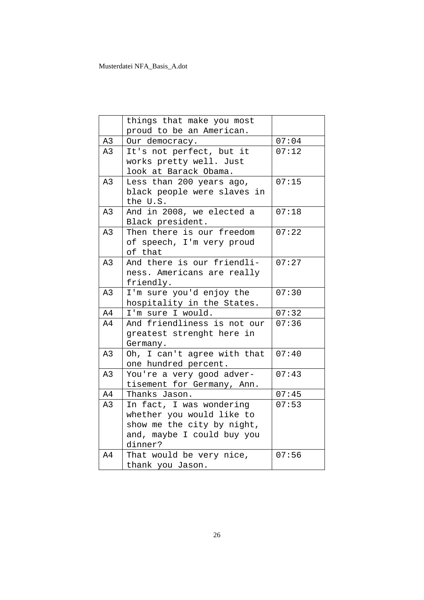|               | things that make you most   |       |
|---------------|-----------------------------|-------|
|               | proud to be an American.    |       |
| A3            | Our democracy.              | 07:04 |
| A3            | It's not perfect, but it    | 07:12 |
|               | works pretty well. Just     |       |
|               | look at Barack Obama.       |       |
| A3            | Less than 200 years ago,    | 07:15 |
|               | black people were slaves in |       |
|               | the U.S.                    |       |
| A3            | And in 2008, we elected a   | 07:18 |
|               | Black president.            |       |
| A3            | Then there is our freedom   | 07:22 |
|               | of speech, I'm very proud   |       |
|               | of that                     |       |
| A3            | And there is our friendli-  | 07:27 |
|               | ness. Americans are really  |       |
|               | friendly.                   |       |
| A3            | I'm sure you'd enjoy the    | 07:30 |
|               | hospitality in the States.  |       |
| A4            | I'm sure I would.           | 07:32 |
| A4            | And friendliness is not our | 07:36 |
|               | greatest strenght here in   |       |
|               | Germany.                    |       |
| A3            | Oh, I can't agree with that | 07:40 |
|               | one hundred percent.        |       |
| A3            | You're a very good adver-   | 07:43 |
|               | tisement for Germany, Ann.  |       |
| $\mathbb{A}4$ | Thanks Jason.               | 07:45 |
| A3            | In fact, I was wondering    | 07:53 |
|               | whether you would like to   |       |
|               | show me the city by night,  |       |
|               | and, maybe I could buy you  |       |
|               | dinner?                     |       |
| A4            | That would be very nice,    | 07:56 |
|               | thank you Jason.            |       |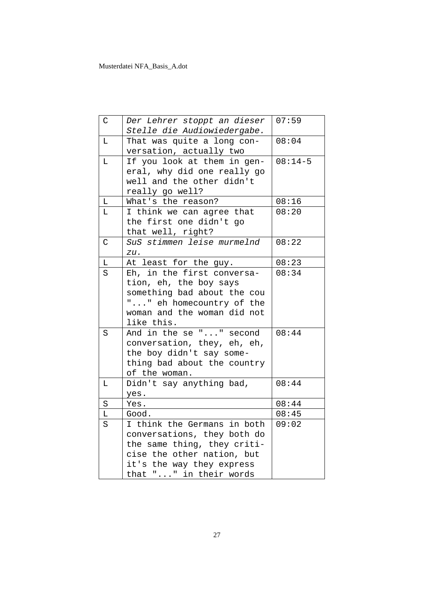| $\mathsf{C}$ | Der Lehrer stoppt an dieser<br>Stelle die Audiowiedergabe.                                                                                                                     | 07:59     |
|--------------|--------------------------------------------------------------------------------------------------------------------------------------------------------------------------------|-----------|
| L            | That was quite a long con-<br>versation, actually two                                                                                                                          | 08:04     |
| L            | If you look at them in gen-<br>eral, why did one really go<br>well and the other didn't<br>really go well?                                                                     | $08:14-5$ |
| $\mathbb L$  | What's the reason?                                                                                                                                                             | 08:16     |
| L            | I think we can agree that<br>the first one didn't go<br>that well, right?                                                                                                      | 08:20     |
| $\mathsf{C}$ | SuS stimmen leise murmelnd<br>zu.                                                                                                                                              | 08:22     |
| L            | At least for the guy.                                                                                                                                                          | 08:23     |
| S            | Eh, in the first conversa-<br>tion, eh, the boy says<br>something bad about the cou<br>"" eh homecountry of the<br>woman and the woman did not<br>like this.                   | 08:34     |
| S            | And in the se "" second<br>conversation, they, eh, eh,<br>the boy didn't say some-<br>thing bad about the country<br>of the woman.                                             | 08:44     |
| L            | Didn't say anything bad,<br>yes.                                                                                                                                               | 08:44     |
| $\rm S$      | Yes.                                                                                                                                                                           | 08:44     |
| Г            | Good.                                                                                                                                                                          | 08:45     |
| S            | I think the Germans in both<br>conversations, they both do<br>the same thing, they criti-<br>cise the other nation, but<br>it's the way they express<br>that "" in their words | 09:02     |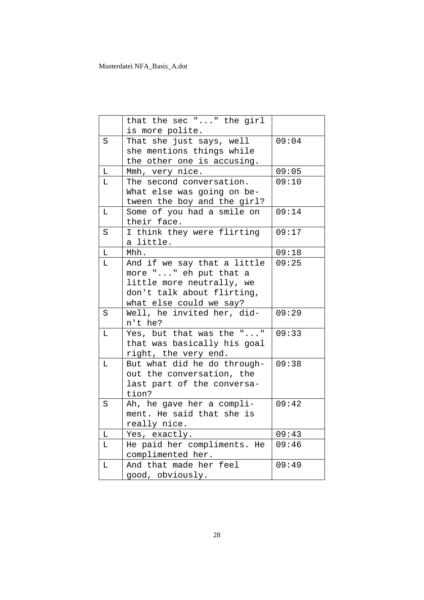|          | that the sec "" the girl<br>is more polite.                                                                                                |       |
|----------|--------------------------------------------------------------------------------------------------------------------------------------------|-------|
| S        | That she just says, well<br>she mentions things while<br>the other one is accusing.                                                        | 09:04 |
| L        | Mmh, very nice.                                                                                                                            | 09:05 |
| L        | The second conversation.<br>What else was going on be-<br>tween the boy and the girl?                                                      | 09:10 |
| L        | Some of you had a smile on<br>their face.                                                                                                  | 09:14 |
| S        | I think they were flirting<br>a little.                                                                                                    | 09:17 |
| L        | Mhh.                                                                                                                                       | 09:18 |
| L        | And if we say that a little<br>more "" eh put that a<br>little more neutrally, we<br>don't talk about flirting,<br>what else could we say? | 09:25 |
| S        | Well, he invited her, did-<br>n't he?                                                                                                      | 09:29 |
| Г        | Yes, but that was the ""<br>that was basically his goal<br>right, the very end.                                                            | 09:33 |
| L        | But what did he do through-<br>out the conversation, the<br>last part of the conversa-<br>tion?                                            | 09:38 |
| S        | Ah, he gave her a compli-<br>ment. He said that she is<br>really nice.                                                                     | 09:42 |
| Г        | Yes, exactly.                                                                                                                              | 09:43 |
| L        | He paid her compliments. He<br>complimented her.                                                                                           | 09:46 |
| $\Gamma$ | And that made her feel<br>good, obviously.                                                                                                 | 09:49 |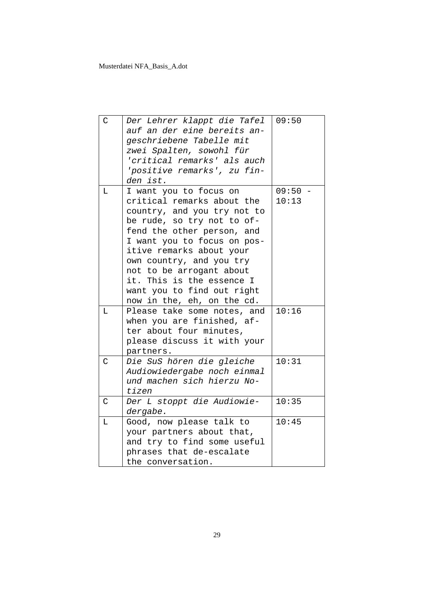| $\mathcal{C}$  | Der Lehrer klappt die Tafel<br>auf an der eine bereits an-<br>geschriebene Tabelle mit<br>zwei Spalten, sowohl für<br>'critical remarks' als auch<br>'positive remarks', zu fin-<br>den ist.                                                                                                                                      | 09:50 |
|----------------|-----------------------------------------------------------------------------------------------------------------------------------------------------------------------------------------------------------------------------------------------------------------------------------------------------------------------------------|-------|
| T.             | I want you to focus on                                                                                                                                                                                                                                                                                                            | 09:50 |
|                | critical remarks about the<br>country, and you try not to<br>be rude, so try not to of-<br>fend the other person, and<br>I want you to focus on pos-<br>itive remarks about your<br>own country, and you try<br>not to be arrogant about<br>it. This is the essence I<br>want you to find out right<br>now in the, eh, on the cd. | 10:13 |
| L              | Please take some notes, and<br>when you are finished, af-                                                                                                                                                                                                                                                                         | 10:16 |
|                | ter about four minutes,                                                                                                                                                                                                                                                                                                           |       |
|                | please discuss it with your                                                                                                                                                                                                                                                                                                       |       |
|                | partners.                                                                                                                                                                                                                                                                                                                         |       |
| $\overline{C}$ | Die SuS hören die gleiche<br>Audiowiedergabe noch einmal<br>und machen sich hierzu No-<br>tizen                                                                                                                                                                                                                                   | 10:31 |
| $\mathcal{C}$  | Der L stoppt die Audiowie-                                                                                                                                                                                                                                                                                                        | 10:35 |
|                | dergabe.                                                                                                                                                                                                                                                                                                                          |       |
| T.             | Good, now please talk to                                                                                                                                                                                                                                                                                                          | 10:45 |
|                | your partners about that,                                                                                                                                                                                                                                                                                                         |       |
|                | and try to find some useful<br>phrases that de-escalate                                                                                                                                                                                                                                                                           |       |
|                | the conversation.                                                                                                                                                                                                                                                                                                                 |       |
|                |                                                                                                                                                                                                                                                                                                                                   |       |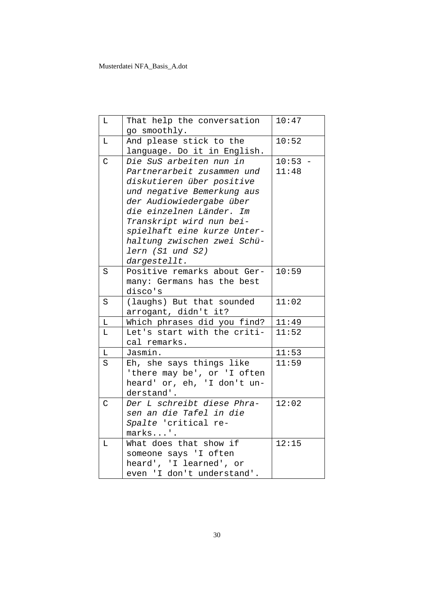| Г            | That help the conversation                            | 10:47     |
|--------------|-------------------------------------------------------|-----------|
|              | go smoothly.                                          |           |
| $\mathbb L$  | And please stick to the                               | 10:52     |
|              | language. Do it in English.                           |           |
| $\mathsf{C}$ | Die SuS arbeiten nun in                               | $10:53 -$ |
|              | Partnerarbeit zusammen und                            | 11:48     |
|              | diskutieren über positive                             |           |
|              | und negative Bemerkung aus                            |           |
|              | der Audiowiedergabe über                              |           |
|              | die einzelnen Länder. Im                              |           |
|              | Transkript wird nun bei-                              |           |
|              | spielhaft eine kurze Unter-                           |           |
|              | haltung zwischen zwei Schü-                           |           |
|              | lern (S1 und S2)                                      |           |
|              | dargestellt.                                          |           |
| S            | Positive remarks about Ger-                           | 10:59     |
|              | many: Germans has the best                            |           |
|              | disco's                                               |           |
| S            | (laughs) But that sounded                             | 11:02     |
|              | arrogant, didn't it?                                  |           |
| $\mathbb L$  | Which phrases did you find?                           | 11:49     |
| Г            | Let's start with the criti-                           | 11:52     |
|              | cal remarks.                                          |           |
| L            | Jasmin.                                               | 11:53     |
| S            | Eh, she says things like                              | 11:59     |
|              | 'there may be', or 'I often                           |           |
|              | heard' or, eh, 'I don't un-                           |           |
|              | derstand'.                                            |           |
| $\mathsf{C}$ | Der L schreibt diese Phra-                            | 12:02     |
|              | sen an die Tafel in die                               |           |
|              | Spalte 'critical re-                                  |           |
|              | marks'.                                               |           |
| $\mathbb L$  | What does that show if                                | 12:15     |
|              | someone says 'I often                                 |           |
|              | heard', 'I learned', or<br>even 'I don't understand'. |           |
|              |                                                       |           |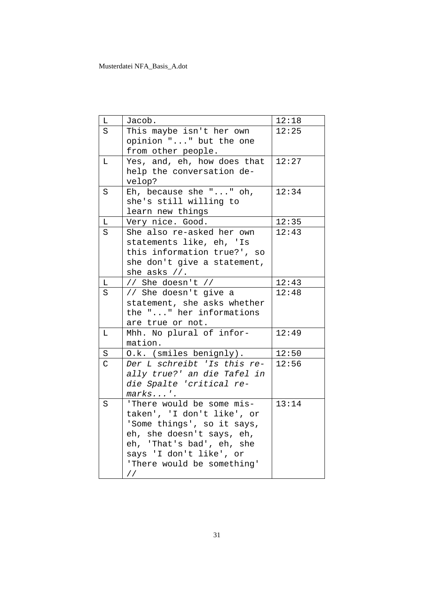| L              | Jacob.                      | 12:18 |
|----------------|-----------------------------|-------|
| S              | This maybe isn't her own    | 12:25 |
|                | opinion "" but the one      |       |
|                | from other people.          |       |
| L              | Yes, and, eh, how does that | 12:27 |
|                | help the conversation de-   |       |
|                | velop?                      |       |
| S              | Eh, because she $""$ oh,    | 12:34 |
|                | she's still willing to      |       |
|                | learn new things            |       |
| L              | Very nice. Good.            | 12:35 |
| S              | She also re-asked her own   | 12:43 |
|                | statements like, eh, 'Is    |       |
|                | this information true?', so |       |
|                | she don't give a statement, |       |
|                | she asks $//$ .             |       |
| L              | // She doesn't //           | 12:43 |
| S              | // She doesn't give a       | 12:48 |
|                | statement, she asks whether |       |
|                | the "" her informations     |       |
|                | are true or not.            |       |
| L              | Mhh. No plural of infor-    | 12:49 |
|                | mation.                     |       |
| S              | O.k. (smiles benignly).     | 12:50 |
| $\overline{C}$ | Der L schreibt 'Is this re- | 12:56 |
|                | ally true?' an die Tafel in |       |
|                | die Spalte 'critical re-    |       |
|                | $marks'$ .                  |       |
| S              | 'There would be some mis-   | 13:14 |
|                | taken', 'I don't like', or  |       |
|                | 'Some things', so it says,  |       |
|                | eh, she doesn't says, eh,   |       |
|                | eh, 'That's bad', eh, she   |       |
|                | says 'I don't like', or     |       |
|                | 'There would be something'  |       |
|                | $\frac{1}{2}$               |       |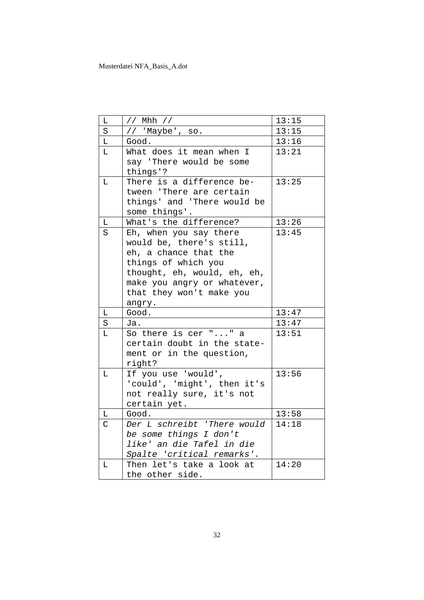| L           | // Mhh //                                           | 13:15          |
|-------------|-----------------------------------------------------|----------------|
| S           | // 'Maybe', so.                                     | 13:15          |
| L           | Good.                                               | 13:16          |
| L           | What does it mean when I                            | 13:21          |
|             | say 'There would be some                            |                |
|             | things'?                                            |                |
| L           | There is a difference be-                           | 13:25          |
|             | tween 'There are certain                            |                |
|             | things' and 'There would be                         |                |
|             | some things'.                                       |                |
| $\mathbb L$ | What's the difference?                              | 13:26          |
| S           | Eh, when you say there                              | 13:45          |
|             | would be, there's still,                            |                |
|             | eh, a chance that the                               |                |
|             | things of which you<br>thought, eh, would, eh, eh,  |                |
|             | make you angry or whatever,                         |                |
|             | that they won't make you                            |                |
|             |                                                     |                |
|             |                                                     |                |
| L           | angry.                                              |                |
|             | Good.<br>Ja.                                        | 13:47          |
| S<br>L      |                                                     | 13:47<br>13:51 |
|             | So there is cer "" a<br>certain doubt in the state- |                |
|             | ment or in the question,                            |                |
|             | right?                                              |                |
| L           | If you use 'would',                                 | 13:56          |
|             | 'could', 'might', then it's                         |                |
|             | not really sure, it's not                           |                |
|             | certain yet.                                        |                |
| L           | Good.                                               | 13:58          |
| C           | Der L schreibt 'There would                         | 14:18          |
|             | be some things I don't                              |                |
|             | like' an die Tafel in die                           |                |
|             | Spalte 'critical remarks'.                          |                |
| L           | Then let's take a look at<br>the other side.        | 14:20          |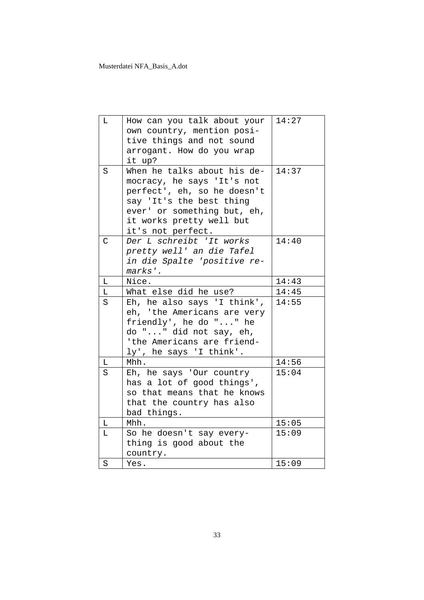| L            | How can you talk about your | 14:27 |
|--------------|-----------------------------|-------|
|              | own country, mention posi-  |       |
|              | tive things and not sound   |       |
|              | arrogant. How do you wrap   |       |
|              | it up?                      |       |
| S            | When he talks about his de- | 14:37 |
|              | mocracy, he says 'It's not  |       |
|              | perfect', eh, so he doesn't |       |
|              | say 'It's the best thing    |       |
|              | ever' or something but, eh, |       |
|              | it works pretty well but    |       |
|              | it's not perfect.           |       |
| $\mathsf{C}$ | Der L schreibt 'It works    | 14:40 |
|              | pretty well' an die Tafel   |       |
|              | in die Spalte 'positive re- |       |
|              | marks'.                     |       |
| L            | Nice.                       | 14:43 |
| L            | What else did he use?       | 14:45 |
| S            | Eh, he also says 'I think', | 14:55 |
|              | eh, 'the Americans are very |       |
|              | friendly', he do "" he      |       |
|              | do "" did not say, eh,      |       |
|              | 'the Americans are friend-  |       |
|              | ly', he says 'I think'.     | 14:56 |
| L            | Mhh.                        | 15:04 |
| S            | Eh, he says 'Our country    |       |
|              | has a lot of good things',  |       |
|              | so that means that he knows |       |
|              | that the country has also   |       |
| $\mathbb L$  | bad things.<br>Mhh.         | 15:05 |
|              |                             |       |
| L            | So he doesn't say every-    | 15:09 |
|              | thing is good about the     |       |
|              | country.                    |       |
| $\rm S$      | Yes.                        | 15:09 |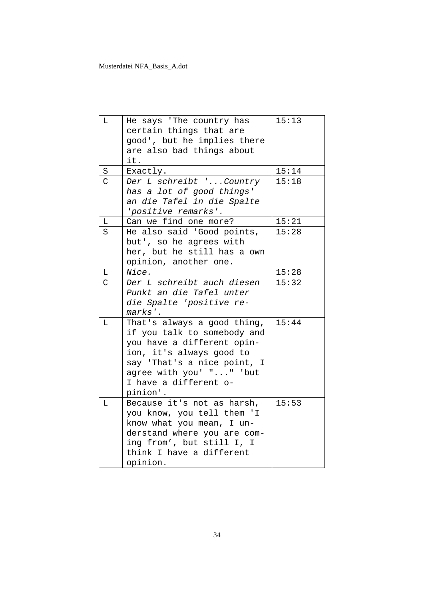| L              | He says 'The country has    | 15:13 |
|----------------|-----------------------------|-------|
|                | certain things that are     |       |
|                | good', but he implies there |       |
|                | are also bad things about   |       |
|                | it.                         |       |
| $\rm S$        | Exactly.                    | 15:14 |
| $\overline{C}$ | Der L schreibt 'Country     | 15:18 |
|                | has a lot of good things'   |       |
|                | an die Tafel in die Spalte  |       |
|                | 'positive remarks'.         |       |
| L              | Can we find one more?       | 15:21 |
| S              | He also said 'Good points,  | 15:28 |
|                | but', so he agrees with     |       |
|                | her, but he still has a own |       |
|                | opinion, another one.       |       |
| L              | Nice.                       | 15:28 |
| C              | Der L schreibt auch diesen  | 15:32 |
|                | Punkt an die Tafel unter    |       |
|                | die Spalte 'positive re-    |       |
|                | marks'.                     |       |
| L              | That's always a good thing, | 15:44 |
|                | if you talk to somebody and |       |
|                | you have a different opin-  |       |
|                | ion, it's always good to    |       |
|                | say 'That's a nice point, I |       |
|                | agree with you' "" 'but     |       |
|                | I have a different o-       |       |
|                | pinion'.                    |       |
| L              | Because it's not as harsh,  | 15:53 |
|                | you know, you tell them 'I  |       |
|                | know what you mean, I un-   |       |
|                | derstand where you are com- |       |
|                | ing from', but still I, I   |       |
|                | think I have a different    |       |
|                | opinion.                    |       |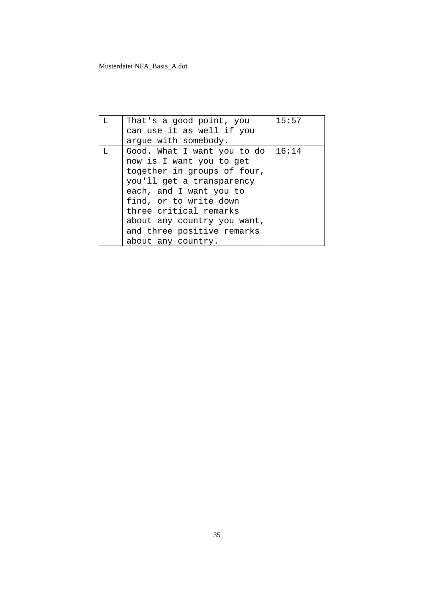| т. | That's a good point, you    | 15:57 |
|----|-----------------------------|-------|
|    | can use it as well if you   |       |
|    | argue with somebody.        |       |
| т. | Good. What I want you to do | 16:14 |
|    | now is I want you to get    |       |
|    | together in groups of four, |       |
|    | you'll get a transparency   |       |
|    | each, and I want you to     |       |
|    | find, or to write down      |       |
|    | three critical remarks      |       |
|    | about any country you want, |       |
|    | and three positive remarks  |       |
|    | about any country.          |       |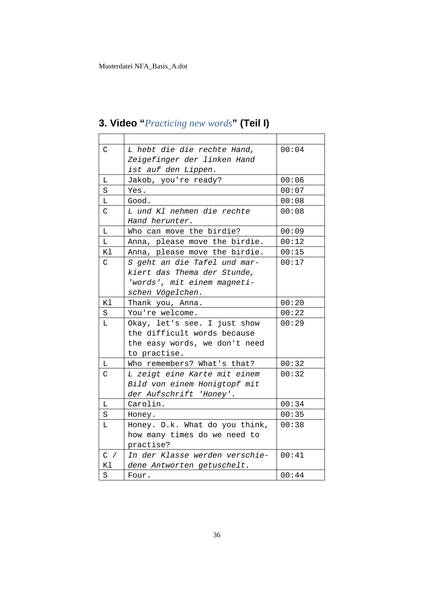| C           | L hebt die die rechte Hand,    | 00:04 |
|-------------|--------------------------------|-------|
|             | Zeigefinger der linken Hand    |       |
|             | ist auf den Lippen.            |       |
| Г           | Jakob, you're ready?           | 00:06 |
| S           | Yes.                           | 00:07 |
| L           | Good.                          | 00:08 |
| C           | L und Kl nehmen die rechte     | 00:08 |
|             | Hand herunter.                 |       |
| L           | Who can move the birdie?       | 00:09 |
| L           | Anna, please move the birdie.  | 00:12 |
| Κl          | Anna, please move the birdie.  | 00:15 |
| C.          | S geht an die Tafel und mar-   | 00:17 |
|             | kiert das Thema der Stunde,    |       |
|             | 'words', mit einem magneti-    |       |
|             | schen Vögelchen.               |       |
| Κl          | Thank you, Anna.               | 00:20 |
| S           | You're welcome.                | 00:22 |
| L           | Okay, let's see. I just show   | 00:29 |
|             | the difficult words because    |       |
|             | the easy words, we don't need  |       |
|             | to practise.                   |       |
| L           | Who remembers? What's that?    | 00:32 |
| $\mathsf C$ | L zeigt eine Karte mit einem   | 00:32 |
|             | Bild von einem Honigtopf mit   |       |
|             | der Aufschrift 'Honey'.        |       |
| L           | Carolin.                       | 00:34 |
| S           | Honey.                         | 00:35 |
| L           | Honey. O.k. What do you think, | 00:38 |
|             | how many times do we need to   |       |
|             | practise?                      |       |
| C /         | In der Klasse werden verschie- | 00:41 |
| Κl          | dene Antworten getuschelt.     |       |
| S           | Four.                          | 00:44 |

# **3. Video "***Practicing new words***" (Teil I)**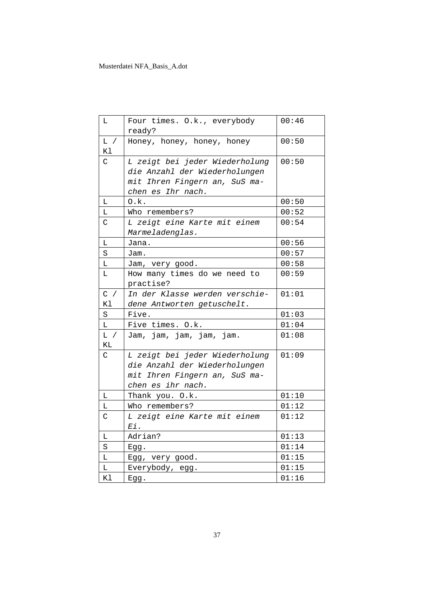| L            | Four times. O.k., everybody<br>ready?                                                                                 | 00:46 |
|--------------|-----------------------------------------------------------------------------------------------------------------------|-------|
| L /<br>K1    | Honey, honey, honey, honey                                                                                            | 00:50 |
| C            | L zeigt bei jeder Wiederholung<br>die Anzahl der Wiederholungen<br>mit Ihren Fingern an, SuS ma-<br>chen es Ihr nach. | 00:50 |
| L            | O.k.                                                                                                                  | 00:50 |
| L.           | Who remembers?                                                                                                        | 00:52 |
| C            | L zeigt eine Karte mit einem<br>Marmeladenglas.                                                                       | 00:54 |
| L            | Jana.                                                                                                                 | 00:56 |
| S            | Jam.                                                                                                                  | 00:57 |
| L            | Jam, very good.                                                                                                       | 00:58 |
| L            | How many times do we need to<br>practise?                                                                             | 00:59 |
| $C$ /<br>K1  | In der Klasse werden verschie-<br>dene Antworten getuschelt.                                                          | 01:01 |
| S            | Five.                                                                                                                 | 01:03 |
| L            | Five times. O.k.                                                                                                      | 01:04 |
| L /<br>ΚL    | Jam, jam, jam, jam, jam.                                                                                              | 01:08 |
| $\mathsf{C}$ | L zeigt bei jeder Wiederholung<br>die Anzahl der Wiederholungen<br>mit Ihren Fingern an, SuS ma-<br>chen es ihr nach. | 01:09 |
| Г            | Thank you. O.k.                                                                                                       | 01:10 |
|              |                                                                                                                       |       |
| L            | Who remembers?                                                                                                        | 01:12 |
| C            | L zeigt eine Karte mit einem<br>Ei.                                                                                   | 01:12 |
| L            | Adrian?                                                                                                               | 01:13 |
| $\rm S$      | Egg.                                                                                                                  | 01:14 |
| Г            | Egg, very good.                                                                                                       | 01:15 |
| г            | Everybody, egg.                                                                                                       | 01:15 |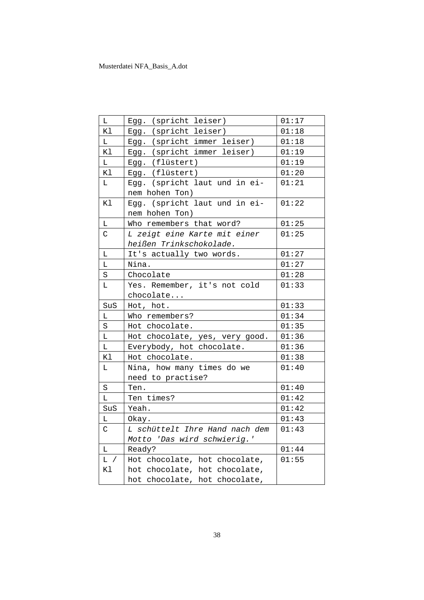| L            | Egg. (spricht leiser)                           | 01:17 |
|--------------|-------------------------------------------------|-------|
| Κl           | Egg. (spricht leiser)                           | 01:18 |
| L            | Egg. (spricht immer leiser)                     | 01:18 |
| Κl           | Egg. (spricht immer leiser)                     | 01:19 |
| L            | Egg. (flüstert)                                 | 01:19 |
| Κl           | Egg. (flüstert)                                 | 01:20 |
| $\mathbb L$  | Egg. (spricht laut und in ei-<br>nem hohen Ton) | 01:21 |
| Κl           | Egg. (spricht laut und in ei-                   | 01:22 |
|              | nem hohen Ton)                                  |       |
| L            | Who remembers that word?                        | 01:25 |
| $\mathsf C$  | L zeigt eine Karte mit einer                    | 01:25 |
|              | heißen Trinkschokolade.                         |       |
| Г            | It's actually two words.                        | 01:27 |
| L            | Nina.                                           | 01:27 |
| S            | Chocolate                                       | 01:28 |
| L            | Yes. Remember, it's not cold                    | 01:33 |
|              | chocolate                                       |       |
| SuS          | Hot, hot.                                       | 01:33 |
| L            | Who remembers?                                  | 01:34 |
| $\rm S$      | Hot chocolate.                                  | 01:35 |
| L            | Hot chocolate, yes, very good.                  | 01:36 |
| L            | Everybody, hot chocolate.                       | 01:36 |
| Κl           | Hot chocolate.                                  | 01:38 |
| L            | Nina, how many times do we                      | 01:40 |
|              | need to practise?                               |       |
| S            | Ten.                                            | 01:40 |
| L            | Ten times?                                      | 01:42 |
| SuS          | Yeah.                                           | 01:42 |
| L            | Okay.                                           | 01:43 |
| $\mathsf{C}$ | L schüttelt Ihre Hand nach dem                  | 01:43 |
|              | Motto 'Das wird schwierig.'                     |       |
| L            | Ready?                                          | 01:44 |
| L /          | Hot chocolate, hot chocolate,                   | 01:55 |
| Κl           | hot chocolate, hot chocolate,                   |       |
|              | hot chocolate, hot chocolate,                   |       |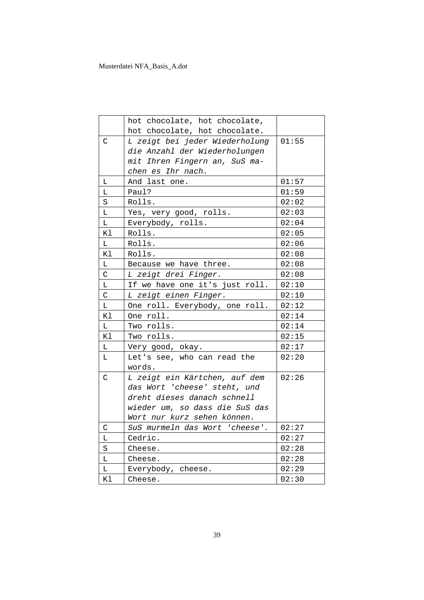|             | hot chocolate, hot chocolate,  |       |
|-------------|--------------------------------|-------|
|             | hot chocolate, hot chocolate.  |       |
| $\mathsf C$ | L zeigt bei jeder Wiederholung | 01:55 |
|             | die Anzahl der Wiederholungen  |       |
|             | mit Ihren Fingern an, SuS ma-  |       |
|             | chen es Ihr nach.              |       |
| L           | And last one.                  | 01:57 |
| L.          | Paul?                          | 01:59 |
| S           | Rolls.                         | 02:02 |
| L           | Yes, very good, rolls.         | 02:03 |
| L           | Everybody, rolls.              | 02:04 |
| Κl          | Rolls.                         | 02:05 |
| L           | Rolls.                         | 02:06 |
| Κl          | Rolls.                         | 02:08 |
| L           | Because we have three.         | 02:08 |
| C           | L zeigt drei Finger.           | 02:08 |
| L           | If we have one it's just roll. | 02:10 |
| $\mathsf C$ | L zeigt einen Finger.          | 02:10 |
| L           | One roll. Everybody, one roll. | 02:12 |
| Κl          | One roll.                      | 02:14 |
| L           | Two rolls.                     | 02:14 |
| Κl          | Two rolls.                     | 02:15 |
| L           | Very good, okay.               | 02:17 |
| L           | Let's see, who can read the    | 02:20 |
|             | words.                         |       |
| C           | L zeigt ein Kärtchen, auf dem  | 02:26 |
|             | das Wort 'cheese' steht, und   |       |
|             | dreht dieses danach schnell    |       |
|             | wieder um, so dass die SuS das |       |
|             | Wort nur kurz sehen können.    |       |
| C           | SuS murmeln das Wort 'cheese'. | 02:27 |
| Г           | Cedric.                        | 02:27 |
| $\rm S$     | Cheese.                        | 02:28 |
| L           | Cheese.                        | 02:28 |
| Г           | Everybody, cheese.             | 02:29 |
| Κl          | Cheese.                        | 02:30 |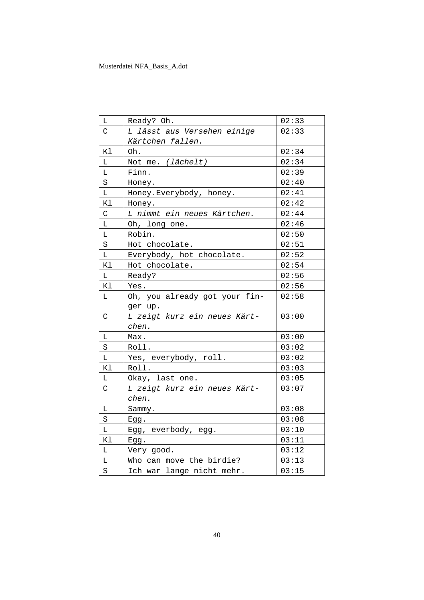| Г           | Ready? Oh.                    | 02:33 |
|-------------|-------------------------------|-------|
| C           | L lässt aus Versehen einige   | 02:33 |
|             | Kärtchen fallen.              |       |
| K1          | Oh.                           | 02:34 |
| L           | Not me. (lächelt)             | 02:34 |
| L           | Finn.                         | 02:39 |
| S           | Honey.                        | 02:40 |
| Г           | Honey. Everybody, honey.      | 02:41 |
| Κl          | Honey.                        | 02:42 |
| C           | L nimmt ein neues Kärtchen.   | 02:44 |
| L           | Oh, long one.                 | 02:46 |
| L           | Robin.                        | 02:50 |
| S           | Hot chocolate.                | 02:51 |
| L           | Everybody, hot chocolate.     | 02:52 |
| Κl          | Hot chocolate.                | 02:54 |
| L           | Ready?                        | 02:56 |
| Κl          | Yes.                          | 02:56 |
| L           | Oh, you already got your fin- | 02:58 |
|             | ger up.                       |       |
| $\mathsf C$ | L zeigt kurz ein neues Kärt-  | 03:00 |
|             | chen.                         |       |
| L           | Max.                          | 03:00 |
| S           | Roll.                         | 03:02 |
| Г           | Yes, everybody, roll.         | 03:02 |
| Κl          | Roll.                         | 03:03 |
| L           | Okay, last one.               | 03:05 |
| C           | L zeigt kurz ein neues Kärt-  | 03:07 |
|             | chen.                         |       |
| L           | Sammy.                        | 03:08 |
| S           | $E$ gg.                       | 03:08 |
| L           | Egg, everbody, egg.           | 03:10 |
| Κl          | Egg.                          | 03:11 |
| L           | Very good.                    | 03:12 |
| L           | Who can move the birdie?      | 03:13 |
| S           | Ich war lange nicht mehr.     | 03:15 |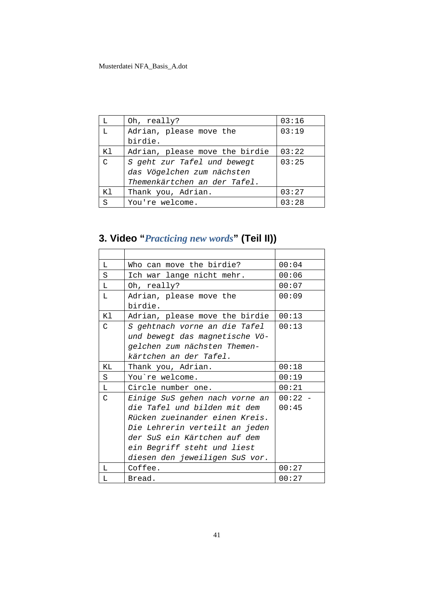| L       | Oh, really?                    | 03:16 |
|---------|--------------------------------|-------|
| L       | Adrian, please move the        | 03:19 |
|         | birdie.                        |       |
| Κl      | Adrian, please move the birdie | 03:22 |
| $\cap$  | S geht zur Tafel und bewegt    | 03:25 |
|         | das Vögelchen zum nächsten     |       |
|         | Themenkärtchen an der Tafel.   |       |
| Κl      | Thank you, Adrian.             | 03:27 |
| $\rm S$ | You're welcome.                | 03:28 |

**3. Video "***Practicing new words***" (Teil II))**

| L  | Who can move the birdie?       | 00:04     |
|----|--------------------------------|-----------|
| S  | Ich war lange nicht mehr.      | 00:06     |
| L  | Oh, really?                    | 00:07     |
| L  | Adrian, please move the        | 00:09     |
|    | birdie.                        |           |
| Κl | Adrian, please move the birdie | 00:13     |
| C  | S gehtnach vorne an die Tafel  | 00:13     |
|    | und bewegt das magnetische Vö- |           |
|    | gelchen zum nächsten Themen-   |           |
|    | kärtchen an der Tafel.         |           |
| KL | Thank you, Adrian.             | 00:18     |
| S  | You're welcome.                | 00:19     |
| L  | Circle number one.             | 00:21     |
| C  | Einige SuS gehen nach vorne an | $00:22 -$ |
|    | die Tafel und bilden mit dem   | 00:45     |
|    | Rücken zueinander einen Kreis. |           |
|    | Die Lehrerin verteilt an jeden |           |
|    | der SuS ein Kärtchen auf dem   |           |
|    | ein Begriff steht und liest    |           |
|    | diesen den jeweiligen SuS vor. |           |
| L  | Coffee.                        | 00:27     |
| L  | Bread.                         | 00:27     |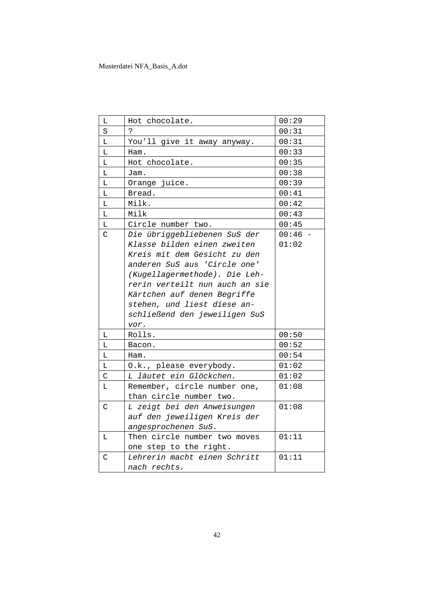| Г           | Hot chocolate.                 | 00:29 |
|-------------|--------------------------------|-------|
| S           | P.                             | 00:31 |
| L           | You'll give it away anyway.    | 00:31 |
| L           | Ham.                           | 00:33 |
| Г           | Hot chocolate.                 | 00:35 |
| L           | Jam.                           | 00:38 |
| L           | Orange juice.                  | 00:39 |
| L           | Bread.                         | 00:41 |
| L           | Milk.                          | 00:42 |
| L           | Milk                           | 00:43 |
| L           | Circle number two.             | 00:45 |
| C           | Die übriggebliebenen SuS der   | 00:46 |
|             | Klasse bilden einen zweiten    | 01:02 |
|             | Kreis mit dem Gesicht zu den   |       |
|             | anderen SuS aus 'Circle one'   |       |
|             | (Kugellagermethode). Die Leh-  |       |
|             | rerin verteilt nun auch an sie |       |
|             | Kärtchen auf denen Begriffe    |       |
|             | stehen, und liest diese an-    |       |
|             | schließend den jeweiligen SuS  |       |
|             | vor.                           |       |
| Г           | Rolls.                         | 00:50 |
| L           | Bacon.                         | 00:52 |
| L           | Ham.                           | 00:54 |
| L           | O.k., please everybody.        | 01:02 |
| $\mathsf C$ | L läutet ein Glöckchen.        | 01:02 |
| L           | Remember, circle number one,   | 01:08 |
|             | than circle number two.        |       |
| C           | L zeigt bei den Anweisungen    | 01:08 |
|             | auf den jeweiligen Kreis der   |       |
|             | angesprochenen SuS.            |       |
| Г           | Then circle number two moves   | 01:11 |
|             | one step to the right.         |       |
| C           | Lehrerin macht einen Schritt   | 01:11 |
|             | nach rechts.                   |       |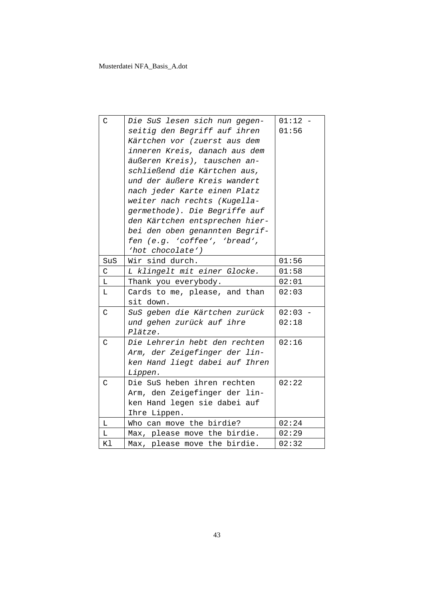| $\mathcal{C}$ | Die SuS lesen sich nun gegen-  | $01:12 -$ |
|---------------|--------------------------------|-----------|
|               | seitig den Begriff auf ihren   | 01:56     |
|               | Kärtchen vor (zuerst aus dem   |           |
|               | inneren Kreis, danach aus dem  |           |
|               | äußeren Kreis), tauschen an-   |           |
|               | schließend die Kärtchen aus,   |           |
|               | und der äußere Kreis wandert   |           |
|               | nach jeder Karte einen Platz   |           |
|               | weiter nach rechts (Kugella-   |           |
|               | germethode). Die Begriffe auf  |           |
|               | den Kärtchen entsprechen hier- |           |
|               | bei den oben genannten Begrif- |           |
|               | fen (e.g. 'coffee', 'bread',   |           |
|               | 'hot chocolate')               |           |
| SuS           | Wir sind durch.                | 01:56     |
| $\mathsf C$   | L klingelt mit einer Glocke.   | 01:58     |
| L             | Thank you everybody.           | 02:01     |
| L             | Cards to me, please, and than  | 02:03     |
|               | sit down.                      |           |
| $\mathsf{C}$  | SuS geben die Kärtchen zurück  | $02:03 -$ |
|               | und gehen zurück auf ihre      | 02:18     |
|               | Plätze.                        |           |
| $\mathsf{C}$  | Die Lehrerin hebt den rechten  | 02:16     |
|               | Arm, der Zeigefinger der lin-  |           |
|               | ken Hand liegt dabei auf Ihren |           |
|               | Lippen.                        |           |
| $\mathcal{C}$ | Die SuS heben ihren rechten    | 02:22     |
|               | Arm, den Zeigefinger der lin-  |           |
|               | ken Hand legen sie dabei auf   |           |
|               | Ihre Lippen.                   |           |
| L             | Who can move the birdie?       | 02:24     |
| L             | Max, please move the birdie.   | 02:29     |
| Κl            | Max, please move the birdie.   | 02:32     |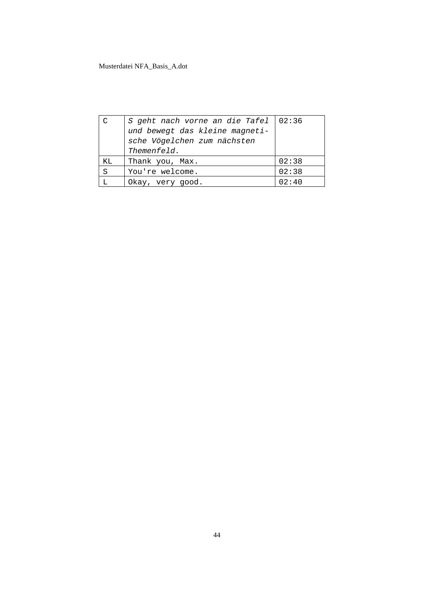| C  | S geht nach vorne an die Tafel   02:36                        |       |
|----|---------------------------------------------------------------|-------|
|    | und bewegt das kleine magneti-<br>sche Vögelchen zum nächsten |       |
|    | Themenfeld.                                                   |       |
| ΚL | Thank you, Max.                                               | 02:38 |
| S  | You're welcome.                                               | 02:38 |
|    | Okay, very good.                                              | 02:40 |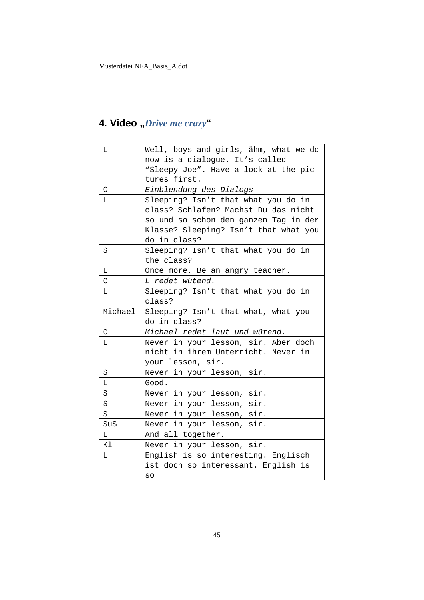## **4. Video "***Drive me crazy***"**

| L             | Well, boys and girls, ähm, what we do |
|---------------|---------------------------------------|
|               | now is a dialogue. It's called        |
|               | "Sleepy Joe". Have a look at the pic- |
|               | tures first.                          |
| $\mathcal{C}$ | Einblendung des Dialogs               |
| L             | Sleeping? Isn't that what you do in   |
|               | class? Schlafen? Machst Du das nicht  |
|               | so und so schon den ganzen Tag in der |
|               | Klasse? Sleeping? Isn't that what you |
|               | do in class?                          |
| S             | Sleeping? Isn't that what you do in   |
|               | the class?                            |
| Г             | Once more. Be an angry teacher.       |
| C             | L redet wütend.                       |
| Г             | Sleeping? Isn't that what you do in   |
|               | class?                                |
| Michael       | Sleeping? Isn't that what, what you   |
|               | do in class?                          |
| $\mathsf{C}$  | Michael redet laut und wütend.        |
| L             | Never in your lesson, sir. Aber doch  |
|               | nicht in ihrem Unterricht. Never in   |
|               |                                       |
|               | your lesson, sir.                     |
| S             | Never in your lesson, sir.            |
| Г             | Good.                                 |
| $\rm S$       | Never in your lesson, sir.            |
| $\rm S$       | Never in your lesson, sir.            |
| S             | Never in your lesson, sir.            |
| SuS           | Never in your lesson, sir.            |
| L             | And all together.                     |
| K1            | Never in your lesson, sir.            |
| Г             | English is so interesting. Englisch   |
|               | ist doch so interessant. English is   |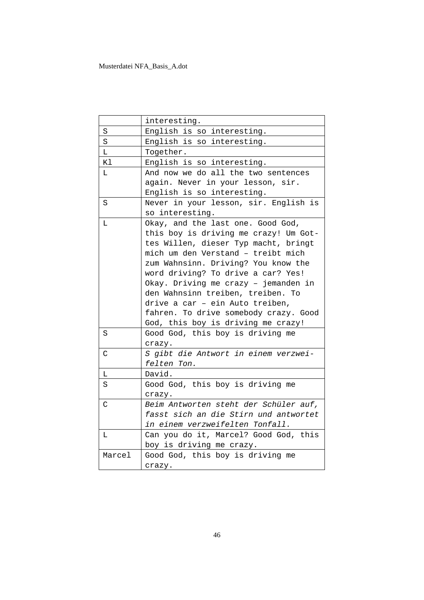|        | interesting.                          |
|--------|---------------------------------------|
| S      | English is so interesting.            |
| S      | English is so interesting.            |
| L      | Together.                             |
| Κl     | English is so interesting.            |
| L      | And now we do all the two sentences   |
|        | again. Never in your lesson, sir.     |
|        | English is so interesting.            |
| S      | Never in your lesson, sir. English is |
|        | so interesting.                       |
| L      | Okay, and the last one. Good God,     |
|        | this boy is driving me crazy! Um Got- |
|        | tes Willen, dieser Typ macht, bringt  |
|        | mich um den Verstand - treibt mich    |
|        | zum Wahnsinn. Driving? You know the   |
|        | word driving? To drive a car? Yes!    |
|        | Okay. Driving me crazy - jemanden in  |
|        | den Wahnsinn treiben, treiben. To     |
|        | drive a car - ein Auto treiben,       |
|        | fahren. To drive somebody crazy. Good |
|        | God, this boy is driving me crazy!    |
| S      | Good God, this boy is driving me      |
|        | crazy.                                |
| C      | S gibt die Antwort in einem verzwei-  |
|        | felten Ton.                           |
| L      | David.                                |
| S      | Good God, this boy is driving me      |
|        | crazy.                                |
| C      | Beim Antworten steht der Schüler auf, |
|        | fasst sich an die Stirn und antwortet |
|        | in einem verzweifelten Tonfall.       |
| L.     | Can you do it, Marcel? Good God, this |
|        | boy is driving me crazy.              |
| Marcel | Good God, this boy is driving me      |
|        | crazy.                                |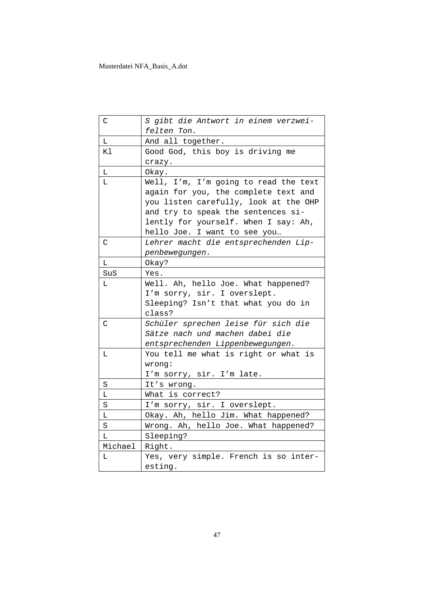| C            | S gibt die Antwort in einem verzwei-<br>felten Ton.                                                                                                                                                                                  |
|--------------|--------------------------------------------------------------------------------------------------------------------------------------------------------------------------------------------------------------------------------------|
| L            | And all together.                                                                                                                                                                                                                    |
| Κl           | Good God, this boy is driving me<br>crazy.                                                                                                                                                                                           |
| L            | Okay.                                                                                                                                                                                                                                |
| L.           | Well, I'm, I'm going to read the text<br>again for you, the complete text and<br>you listen carefully, look at the OHP<br>and try to speak the sentences si-<br>lently for yourself. When I say: Ah,<br>hello Joe. I want to see you |
| $\mathsf C$  | Lehrer macht die entsprechenden Lip-<br>penbewegungen.                                                                                                                                                                               |
| L            | Okay?                                                                                                                                                                                                                                |
| SuS          | Yes.                                                                                                                                                                                                                                 |
| L            | Well. Ah, hello Joe. What happened?<br>I'm sorry, sir. I overslept.<br>Sleeping? Isn't that what you do in<br>class?                                                                                                                 |
| $\mathsf{C}$ | Schüler sprechen leise für sich die<br>Sätze nach und machen dabei die<br>entsprechenden Lippenbewegungen.                                                                                                                           |
| L            | You tell me what is right or what is<br>wrong:<br>I'm sorry, sir. I'm late.                                                                                                                                                          |
| S            | It's wrong.                                                                                                                                                                                                                          |
| L            | What is correct?                                                                                                                                                                                                                     |
| $\rm S$      | I'm sorry, sir. I overslept.                                                                                                                                                                                                         |
| $\mathbb L$  | Okay. Ah, hello Jim. What happened?                                                                                                                                                                                                  |
| $\rm S$      | Wrong. Ah, hello Joe. What happened?                                                                                                                                                                                                 |
| L            | Sleeping?                                                                                                                                                                                                                            |
| Michael      | Right.                                                                                                                                                                                                                               |
| L            | Yes, very simple. French is so inter-<br>esting.                                                                                                                                                                                     |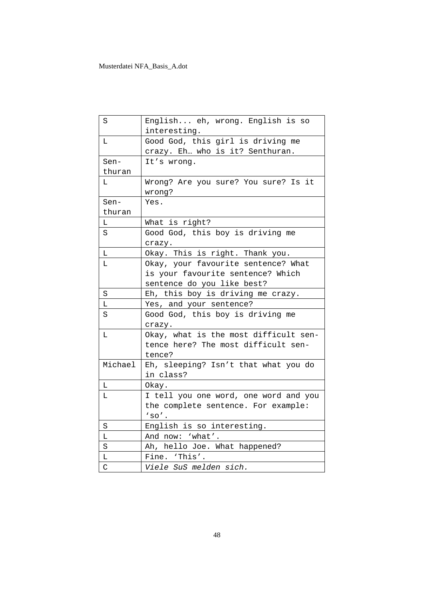| S            | English eh, wrong. English is so<br>interesting. |
|--------------|--------------------------------------------------|
| L            | Good God, this girl is driving me                |
|              | crazy. Eh who is it? Senthuran.                  |
| Sen-         | It's wrong.                                      |
| thuran       |                                                  |
| L            | Wrong? Are you sure? You sure? Is it<br>wrong?   |
| Sen-         | Yes.                                             |
| thuran       |                                                  |
| L            | What is right?                                   |
| S            | Good God, this boy is driving me                 |
|              | crazy.                                           |
| L            | Okay. This is right. Thank you.                  |
| L            | Okay, your favourite sentence? What              |
|              | is your favourite sentence? Which                |
|              | sentence do you like best?                       |
| S            | Eh, this boy is driving me crazy.                |
| L            | Yes, and your sentence?                          |
| S            | Good God, this boy is driving me                 |
|              | crazy.                                           |
| $\mathbb L$  | Okay, what is the most difficult sen-            |
|              | tence here? The most difficult sen-              |
|              | tence?                                           |
| Michael      | Eh, sleeping? Isn't that what you do             |
|              | in class?                                        |
| L            | Okay.                                            |
| L            | I tell you one word, one word and you            |
|              | the complete sentence. For example:              |
|              | $'so'$ .                                         |
| S            | English is so interesting.                       |
| Г            | And now: 'what'.                                 |
| $\rm S$      | Ah, hello Joe. What happened?                    |
| Г            | Fine. 'This'.                                    |
| $\mathsf{C}$ | Viele SuS melden sich.                           |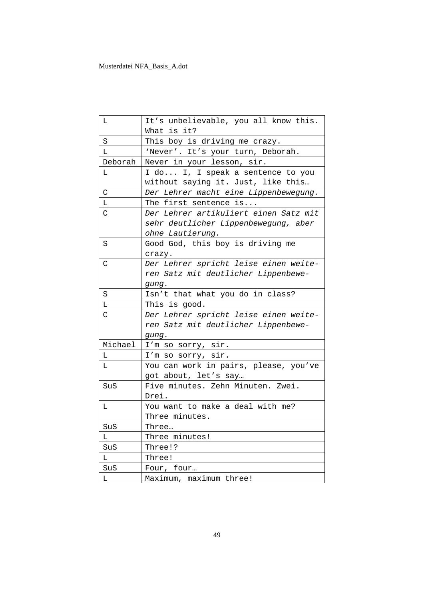| L           | It's unbelievable, you all know this.<br>What is it?                                              |
|-------------|---------------------------------------------------------------------------------------------------|
| S           | This boy is driving me crazy.                                                                     |
| L.          | 'Never'. It's your turn, Deborah.                                                                 |
| Deborah     | Never in your lesson, sir.                                                                        |
| L           | I do I, I speak a sentence to you                                                                 |
|             | without saying it. Just, like this                                                                |
| $\mathsf C$ | Der Lehrer macht eine Lippenbewegung.                                                             |
| Г           | The first sentence is                                                                             |
| C           | Der Lehrer artikuliert einen Satz mit<br>sehr deutlicher Lippenbewegung, aber<br>ohne Lautierung. |
| S           | Good God, this boy is driving me<br>crazy.                                                        |
| C           | Der Lehrer spricht leise einen weite-<br>ren Satz mit deutlicher Lippenbewe-<br>gung.             |
| S           | Isn't that what you do in class?                                                                  |
|             |                                                                                                   |
| L           | This is good.                                                                                     |
| C           | Der Lehrer spricht leise einen weite-                                                             |
|             | ren Satz mit deutlicher Lippenbewe-                                                               |
|             | gung.                                                                                             |
| Michael     | I'm so sorry, sir.                                                                                |
| L           |                                                                                                   |
| L           | I'm so sorry, sir.<br>You can work in pairs, please, you've<br>got about, let's say               |
| SuS         | Five minutes. Zehn Minuten. Zwei.<br>Drei.                                                        |
| L           | You want to make a deal with me?<br>Three minutes.                                                |
| SuS         | Three…                                                                                            |
| L           | Three minutes!                                                                                    |
| SuS         | Three!?                                                                                           |
| L           | Three!                                                                                            |
| SuS         | Four, four                                                                                        |
| L           | Maximum, maximum three!                                                                           |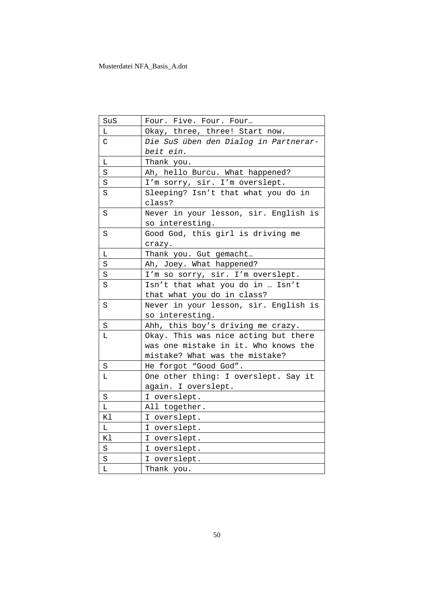| SuS         | Four. Five. Four. Four                |
|-------------|---------------------------------------|
| Г           | Okay, three, three! Start now.        |
| C           | Die SuS üben den Dialog in Partnerar- |
|             | beit ein.                             |
| $\mathbb L$ | Thank you.                            |
| S           | Ah, hello Burcu. What happened?       |
| $\rm S$     | I'm sorry, sir. I'm overslept.        |
| S           | Sleeping? Isn't that what you do in   |
|             | class?                                |
| S           | Never in your lesson, sir. English is |
|             | so interesting.                       |
| S           | Good God, this girl is driving me     |
|             | crazy.                                |
| Г           | Thank you. Gut gemacht                |
| S           | Ah, Joey. What happened?              |
| S           | I'm so sorry, sir. I'm overslept.     |
| S           | Isn't that what you do in  Isn't      |
|             | that what you do in class?            |
| S           | Never in your lesson, sir. English is |
|             | so interesting.                       |
| S           | Ahh, this boy's driving me crazy.     |
| L           | Okay. This was nice acting but there  |
|             | was one mistake in it. Who knows the  |
|             | mistake? What was the mistake?        |
| S           | He forgot "Good God".                 |
| Г           | One other thing: I overslept. Say it  |
|             | again. I overslept.                   |
| $\rm S$     | I overslept.                          |
| L           | All together.                         |
| Κl          | I overslept.                          |
| L           | I overslept.                          |
| Κl          | I overslept.                          |
| S           | I overslept.                          |
| $\rm S$     | I overslept.                          |
| L           | Thank you.                            |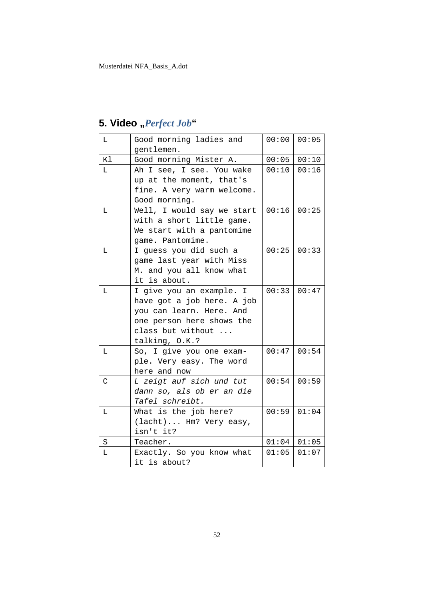#### L Good morning ladies and gentlemen.  $00:00$  00:05 Kl Good morning Mister A. | 00:05 00:10 L Ah I see, I see. You wake up at the moment, that's fine. A very warm welcome. Good morning. 00:10 00:16 L Well, I would say we start with a short little game. We start with a pantomime game. Pantomime. 00:16 00:25 L | I guess you did such a game last year with Miss M. and you all know what it is about. 00:25 00:33 L | I give you an example. I have got a job here. A job you can learn. Here. And one person here shows the class but without ... talking, O.K.? 00:33 00:47 L So, I give you one example. Very easy. The word here and now 00:47 00:54 C *L zeigt auf sich und tut dann so, als ob er an die Tafel schreibt.* 00:54 00:59 L What is the job here? (lacht)... Hm? Very easy, isn't it? 00:59 01:04 S | Teacher. 01:04 | 01:05 L Exactly. So you know what it is about?  $01:05$  01:07

### 5. Video "Perfect Job"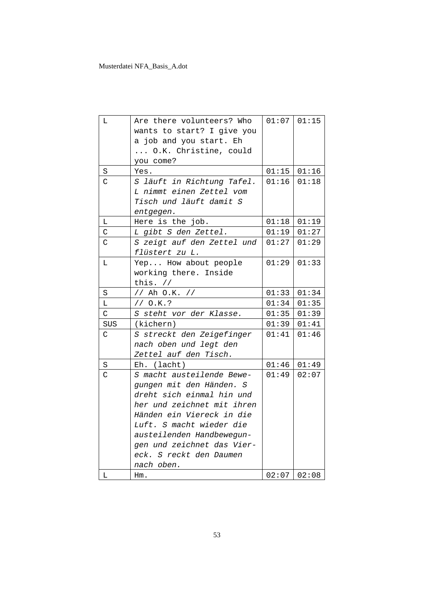| Г           | Are there volunteers? Who            |               | $01:07$ 01:15 |
|-------------|--------------------------------------|---------------|---------------|
|             | wants to start? I give you           |               |               |
|             | a job and you start. Eh              |               |               |
|             | O.K. Christine, could                |               |               |
|             | you come?                            |               |               |
| S           | Yes.                                 |               | $01:15$ 01:16 |
| Ć           | S läuft in Richtung Tafel.           | 01:16         | 01:18         |
|             | L nimmt einen Zettel vom             |               |               |
|             | Tisch und läuft damit S              |               |               |
|             | entgegen.                            |               |               |
| L           | Here is the job.                     | $01:18$ 01:19 |               |
| C           | L gibt S den Zettel.                 | 01:19         | 01:27         |
| C           | S zeigt auf den Zettel und $ 01:27 $ |               | 01:29         |
|             | flüstert zu L.                       |               |               |
| L           | Yep How about people                 | $01:29$ 01:33 |               |
|             | working there. Inside                |               |               |
|             | this. $//$                           |               |               |
| S           | // Ah O.K. //                        | 01:33         | 01:34         |
| L           | // O.K.?                             | 01:34         | 01:35         |
| $\mathsf C$ | S steht vor der Klasse.              | 01:35         | 01:39         |
| SUS         | (kichern)                            | 01:39         | 01:41         |
| C           | S streckt den Zeigefinger            | 01:41         | 01:46         |
|             | nach oben und legt den               |               |               |
|             | Zettel auf den Tisch.                |               |               |
| S           | Eh. (lacht)                          |               | $01:46$ 01:49 |
| $\mathsf C$ | S macht austeilende Bewe-            | 01:49         | 02:07         |
|             | gungen mit den Händen. S             |               |               |
|             | dreht sich einmal hin und            |               |               |
|             | her und zeichnet mit ihren           |               |               |
|             | Händen ein Viereck in die            |               |               |
|             | Luft. S macht wieder die             |               |               |
|             | austeilenden Handbewegun-            |               |               |
|             | gen und zeichnet das Vier-           |               |               |
|             | eck. S reckt den Daumen              |               |               |
|             | nach oben.                           |               |               |
| Г           | $Hm$ .                               |               | $02:07$ 02:08 |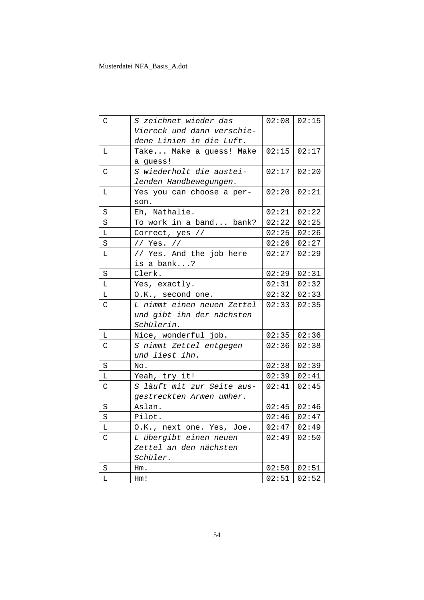| C            | S zeichnet wieder das      |       | $02:08$ 02:15 |
|--------------|----------------------------|-------|---------------|
|              | Viereck und dann verschie- |       |               |
|              | dene Linien in die Luft.   |       |               |
| L            | Take Make a guess! Make    | 02:15 | 02:17         |
|              | a guess!                   |       |               |
| $\mathsf C$  | S wiederholt die austei-   | 02:17 | 02:20         |
|              | lenden Handbewegungen.     |       |               |
| L            | Yes you can choose a per-  | 02:20 | 02:21         |
|              | son.                       |       |               |
| $\rm S$      | Eh, Nathalie.              | 02:21 | 02:22         |
| S            | To work in a band bank?    | 02:22 | 02:25         |
| L            | Correct, yes //            | 02:25 | 02:26         |
| S            | // Yes. //                 | 02:26 | 02:27         |
| L            | // Yes. And the job here   | 02:27 | 02:29         |
|              | is a bank?                 |       |               |
| S            | Clerk.                     | 02:29 | 02:31         |
| L            | Yes, exactly.              | 02:31 | 02:32         |
| L            | O.K., second one.          | 02:32 | 02:33         |
| C            | L nimmt einen neuen Zettel | 02:33 | 02:35         |
|              | und gibt ihn der nächsten  |       |               |
|              | Schülerin.                 |       |               |
| L            | Nice, wonderful job.       | 02:35 | 02:36         |
| $\mathsf C$  | S nimmt Zettel entgegen    | 02:36 | 02:38         |
|              | und liest ihn.             |       |               |
| $\rm S$      | No.                        | 02:38 | 02:39         |
| L            | Yeah, try it!              | 02:39 | 02:41         |
| $\mathsf{C}$ | S läuft mit zur Seite aus- | 02:41 | 02:45         |
|              | gestreckten Armen umher.   |       |               |
| $\rm S$      | Aslan.                     | 02:45 | 02:46         |
| S            | Pilot.                     | 02:46 | 02:47         |
| Г            | O.K., next one. Yes, Joe.  | 02:47 | 02:49         |
| $\mathsf C$  | L übergibt einen neuen     | 02:49 | 02:50         |
|              | Zettel an den nächsten     |       |               |
|              | Schüler.                   |       |               |
| S            | $Hm$ .                     |       | $02:50$ 02:51 |
| Г            | Hm!                        |       | $02:51$ 02:52 |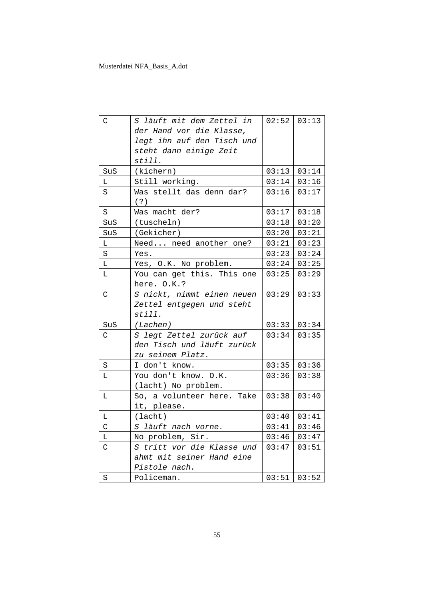| $\mathsf C$  | S läuft mit dem Zettel in  |       | $02:52$ 03:13 |
|--------------|----------------------------|-------|---------------|
|              | der Hand vor die Klasse,   |       |               |
|              | legt ihn auf den Tisch und |       |               |
|              | steht dann einige Zeit     |       |               |
|              | still.                     |       |               |
| SuS          | (kichern)                  |       | $03:13$ 03:14 |
| L            | Still working.             |       | $03:14$ 03:16 |
| S            | Was stellt das denn dar?   | 03:16 | 03:17         |
|              | ( ? )                      |       |               |
| S            | Was macht der?             | 03:17 | 03:18         |
| SuS          | (tuscheln)                 | 03:18 | 03:20         |
| SuS          | (Gekicher)                 | 03:20 | 03:21         |
| L            | Need need another one?     |       | $03:21$ 03:23 |
| $\rm S$      | Yes.                       |       | $03:23$ 03:24 |
| L            | Yes, O.K. No problem.      |       | $03:24$ 03:25 |
| L            | You can get this. This one | 03:25 | 03:29         |
|              | here. O.K.?                |       |               |
| $\mathsf{C}$ | S nickt, nimmt einen neuen | 03:29 | 03:33         |
|              | Zettel entgegen und steht  |       |               |
|              | still.                     |       |               |
| SUS          | (Lachen)                   |       | 03:33   03:34 |
| C            | S legt Zettel zurück auf   | 03:34 | 03:35         |
|              | den Tisch und läuft zurück |       |               |
|              | zu seinem Platz.           |       |               |
| S            | I don't know.              | 03:35 | 03:36         |
| L.           | You don't know. O.K.       | 03:36 | 03:38         |
|              | (lacht) No problem.        |       |               |
| L            | So, a volunteer here. Take | 03:38 | 03:40         |
|              | it, please.                |       |               |
| L            | (lacht)                    |       | $03:40$ 03:41 |
| $\mathsf C$  | S läuft nach vorne.        |       | $03:41$ 03:46 |
| L            | No problem, Sir.           |       | $03:46$ 03:47 |
| $\mathsf C$  | S tritt vor die Klasse und | 03:47 | 03:51         |
|              | ahmt mit seiner Hand eine  |       |               |
|              | Pistole nach.              |       |               |
| S            | Policeman.                 |       | $03:51$ 03:52 |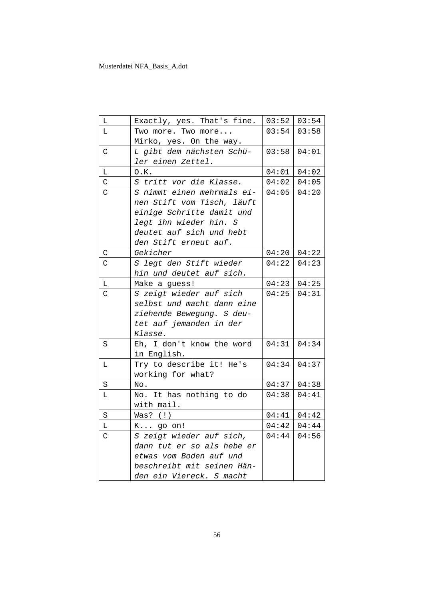| Г            | Exactly, yes. That's fine. |       | $03:52$ 03:54 |
|--------------|----------------------------|-------|---------------|
| L            | Two more. Two more         | 03:54 | 03:58         |
|              | Mirko, yes. On the way.    |       |               |
| C            | L gibt dem nächsten Schü-  | 03:58 | 04:01         |
|              | ler einen Zettel.          |       |               |
| $\mathbb L$  | 0.K.                       | 04:01 | 04:02         |
| $\mathsf{C}$ | S tritt vor die Klasse.    | 04:02 | 04:05         |
| $\mathsf{C}$ | S nimmt einen mehrmals ei- | 04:05 | 04:20         |
|              | nen Stift vom Tisch, läuft |       |               |
|              | einige Schritte damit und  |       |               |
|              | legt ihn wieder hin. S     |       |               |
|              | deutet auf sich und hebt   |       |               |
|              | den Stift erneut auf.      |       |               |
| С            | Gekicher                   | 04:20 | 04:22         |
| C            | S legt den Stift wieder    | 04:22 | 04:23         |
|              | hin und deutet auf sich.   |       |               |
| $\mathbb L$  | Make a guess!              | 04:23 | 04:25         |
| C            | S zeigt wieder auf sich    | 04:25 | 04:31         |
|              | selbst und macht dann eine |       |               |
|              | ziehende Bewegung. S deu-  |       |               |
|              | tet auf jemanden in der    |       |               |
|              | Klasse.                    |       |               |
| S            | Eh, I don't know the word  | 04:31 | 04:34         |
|              | in English.                |       |               |
| L            | Try to describe it! He's   | 04:34 | 04:37         |
|              | working for what?          |       |               |
| $\rm S$      | No.                        | 04:37 | 04:38         |
| L            | No. It has nothing to do   | 04:38 | 04:41         |
|              | with mail.                 |       |               |
| $\rm S$      | Was? $(!)$                 | 04:41 | 04:42         |
| L            | $K$ go on!                 | 04:42 | 04:44         |
| C            | S zeigt wieder auf sich,   | 04:44 | 04:56         |
|              | dann tut er so als hebe er |       |               |
|              | etwas vom Boden auf und    |       |               |
|              | beschreibt mit seinen Hän- |       |               |
|              | den ein Viereck. S macht   |       |               |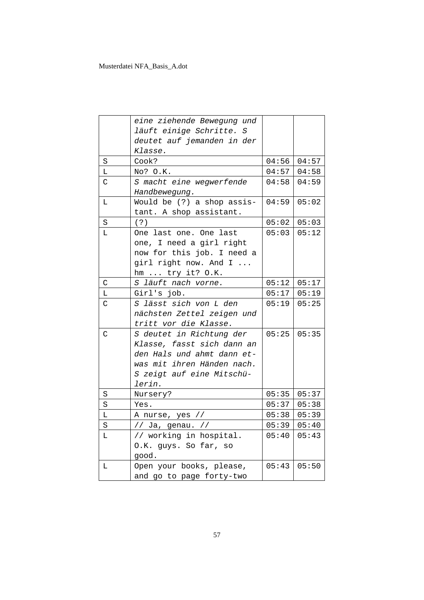|             | eine ziehende Bewegung und |       |               |
|-------------|----------------------------|-------|---------------|
|             | läuft einige Schritte. S   |       |               |
|             | deutet auf jemanden in der |       |               |
|             | Klasse.                    |       |               |
| $\rm S$     | Cook?                      | 04:56 | 04:57         |
| Г           | No? O.K.                   |       | $04:57$ 04:58 |
| C           | S macht eine wegwerfende   | 04:58 | 04:59         |
|             | Handbewegung.              |       |               |
| L.          | Would be (?) a shop assis- | 04:59 | 05:02         |
|             | tant. A shop assistant.    |       |               |
| S           | ( ? )                      | 05:02 | 05:03         |
| L.          | One last one. One last     | 05:03 | 05:12         |
|             | one, I need a girl right   |       |               |
|             | now for this job. I need a |       |               |
|             | girl right now. And I      |       |               |
|             | hm $try$ it? $0.K.$        |       |               |
| $\mathsf C$ | S läuft nach vorne.        |       | $05:12$ 05:17 |
| L           | Girl's job.                |       | $05:17$ 05:19 |
| C           | S lässt sich von L den     | 05:19 | 05:25         |
|             | nächsten Zettel zeigen und |       |               |
|             | tritt vor die Klasse.      |       |               |
| C           | S deutet in Richtung der   | 05:25 | 05:35         |
|             | Klasse, fasst sich dann an |       |               |
|             | den Hals und ahmt dann et- |       |               |
|             | was mit ihren Händen nach. |       |               |
|             | S zeigt auf eine Mitschü-  |       |               |
|             | lerin.                     |       |               |
| S           | Nursery?                   | 05:35 | 05:37         |
| $\rm S$     | Yes.                       |       | $05:37$ 05:38 |
| Г           | A nurse, yes //            |       | $05:38$ 05:39 |
| $\rm S$     | // Ja, genau. //           |       | $05:39$ 05:40 |
| L           | // working in hospital.    | 05:40 | 05:43         |
|             | O.K. guys. So far, so      |       |               |
|             | good.                      |       |               |
| Г           | Open your books, please,   | 05:43 | 05:50         |
|             | and go to page forty-two   |       |               |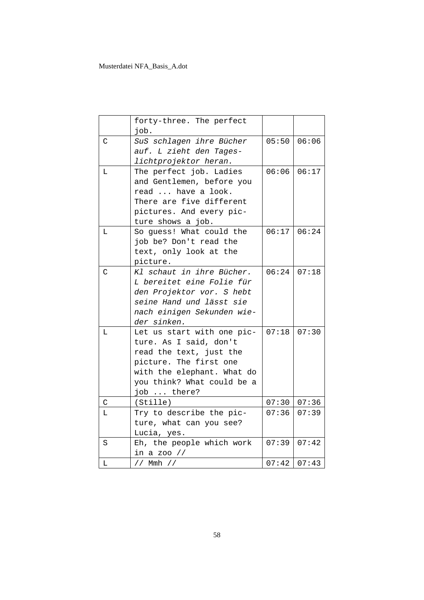|             | forty-three. The perfect<br>job.                                                                                                                                                     |       |               |
|-------------|--------------------------------------------------------------------------------------------------------------------------------------------------------------------------------------|-------|---------------|
| C           | SuS schlagen ihre Bücher<br>auf. L zieht den Tages-<br>lichtprojektor heran.                                                                                                         |       | $05:50$ 06:06 |
| T.          | The perfect job. Ladies<br>and Gentlemen, before you<br>read  have a look.<br>There are five different<br>pictures. And every pic-<br>ture shows a job.                              | 06:06 | 06:17         |
| L           | So guess! What could the<br>job be? Don't read the<br>text, only look at the<br>picture.                                                                                             | 06:17 | 06:24         |
| C           | Kl schaut in ihre Bücher.<br>L bereitet eine Folie für<br>den Projektor vor. S hebt<br>seine Hand und lässt sie<br>nach einigen Sekunden wie-<br>der sinken.                         | 06:24 | 07:18         |
| L           | Let us start with one pic-<br>ture. As I said, don't<br>read the text, just the<br>picture. The first one<br>with the elephant. What do<br>you think? What could be a<br>job  there? | 07:18 | 07:30         |
| $\mathsf C$ | (Stille)                                                                                                                                                                             | 07:30 | 07:36         |
| L           | Try to describe the pic-<br>ture, what can you see?<br>Lucia, yes.                                                                                                                   | 07:36 | 07:39         |
| S           | Eh, the people which work<br>in a zoo $//$                                                                                                                                           | 07:39 | 07:42         |
| L           | // Mmh //                                                                                                                                                                            |       | $07:42$ 07:43 |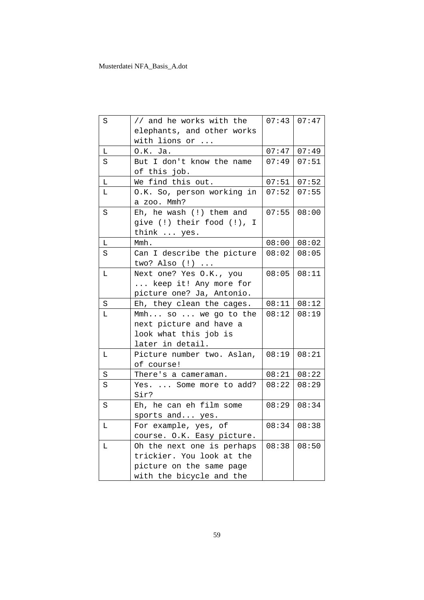| S | // and he works with the                             |       | $07:43$ 07:47 |
|---|------------------------------------------------------|-------|---------------|
|   | elephants, and other works                           |       |               |
|   | with lions or                                        |       |               |
| L | $0.K.$ Ja.                                           | 07:47 | 07:49         |
| S | But I don't know the name                            | 07:49 | 07:51         |
|   | of this job.                                         |       |               |
| Г | We find this out.                                    | 07:51 | 07:52         |
| L | O.K. So, person working in<br>a zoo. Mmh?            | 07:52 | 07:55         |
| S | Eh, he wash $(!)$ them and                           | 07:55 | 08:00         |
|   | give (!) their food (!), I                           |       |               |
|   | think  yes.                                          |       |               |
| L | Mmh.                                                 | 08:00 | 08:02         |
| S | Can I describe the picture                           | 08:02 | 08:05         |
|   | two? Also $(!)$                                      |       |               |
| L | Next one? Yes O.K., you                              | 08:05 | 08:11         |
|   | keep it! Any more for                                |       |               |
|   | picture one? Ja, Antonio.                            |       |               |
|   |                                                      |       |               |
| S | Eh, they clean the cages.                            | 08:11 | 08:12         |
| L | Mmh so  we go to the                                 | 08:12 | 08:19         |
|   | next picture and have a                              |       |               |
|   | look what this job is                                |       |               |
|   | later in detail.                                     |       |               |
| Г | Picture number two. Aslan,                           | 08:19 | 08:21         |
|   | of course!                                           |       |               |
| S | There's a cameraman.                                 | 08:21 | 08:22         |
| S | Yes.  Some more to add?                              | 08:22 | 08:29         |
|   | Sir?                                                 |       |               |
| S | Eh, he can eh film some                              | 08:29 | 08:34         |
|   | sports and yes.                                      |       |               |
| L | For example, yes, of                                 | 08:34 | 08:38         |
|   | course. O.K. Easy picture.                           |       |               |
| Г | Oh the next one is perhaps                           | 08:38 | 08:50         |
|   | trickier. You look at the                            |       |               |
|   | picture on the same page<br>with the bicycle and the |       |               |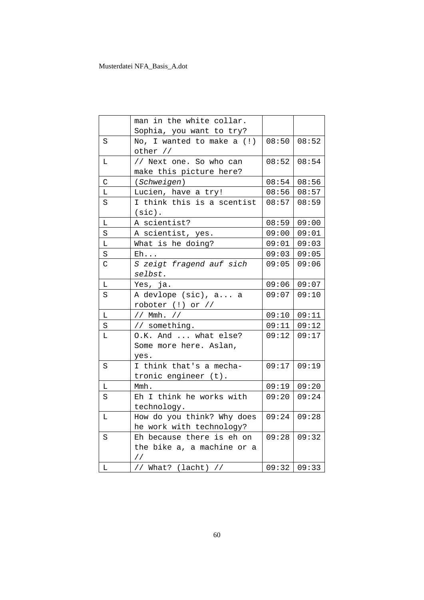|             | man in the white collar.   |               |               |
|-------------|----------------------------|---------------|---------------|
|             | Sophia, you want to try?   |               |               |
| S           | No, I wanted to make a (!) | $08:50$ 08:52 |               |
|             | other //                   |               |               |
| L           | // Next one. So who can    | 08:52         | 08:54         |
|             | make this picture here?    |               |               |
| C           | (Schweigen)                | 08:54         | 08:56         |
| L           | Lucien, have a try!        | 08:56         | 08:57         |
| S           | I think this is a scentist | 08:57         | 08:59         |
|             | $(sic)$ .                  |               |               |
| L.          | A scientist?               | 08:59         | 09:00         |
| S           | A scientist, yes.          | 09:00         | 09:01         |
| L.          | What is he doing?          | 09:01         | 09:03         |
| S           | $E$ h                      | 09:03         | 09:05         |
| C           | S zeigt fragend auf sich   | 09:05         | 09:06         |
|             | selbst.                    |               |               |
| L           | Yes, ja.                   |               | $09:06$ 09:07 |
| S           | A devlope (sic), a a       | 09:07         | 09:10         |
|             | roboter $(!)$ or $//$      |               |               |
| L           | // Mmh. //                 | 09:10         | 09:11         |
| S           | // something.              |               | $09:11$ 09:12 |
| L           | O.K. And  what else?       | 09:12         | 09:17         |
|             | Some more here. Aslan,     |               |               |
|             | yes.                       |               |               |
| S           | I think that's a mecha-    | 09:17         | 09:19         |
|             | tronic engineer (t).       |               |               |
| L.          | Mmh.                       | 09:19         | 09:20         |
| S           | Eh I think he works with   | 09:20         | 09:24         |
|             | technology.                |               |               |
| L           | How do you think? Why does | 09:24         | 09:28         |
|             | he work with technology?   |               |               |
| S           | Eh because there is eh on  | 09:28         | 09:32         |
|             | the bike a, a machine or a |               |               |
|             | $\frac{1}{2}$              |               |               |
| $\mathbb L$ | // What? (lacht) //        |               | 09:32   09:33 |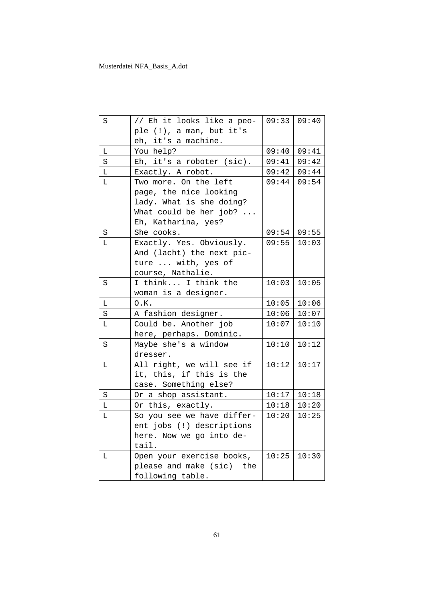| S       | // Eh it looks like a peo- | $09:33$ 09:40 |                   |
|---------|----------------------------|---------------|-------------------|
|         | ple (!), a man, but it's   |               |                   |
|         | eh, it's a machine.        |               |                   |
| L       | You help?                  |               | $09:40$ 09:41     |
| S       | Eh, it's a roboter (sic).  | 09:41         | 09:42             |
| L       | Exactly. A robot.          | 09:42         | 09:44             |
| L       | Two more. On the left      | 09:44         | 09:54             |
|         | page, the nice looking     |               |                   |
|         | lady. What is she doing?   |               |                   |
|         | What could be her job?     |               |                   |
|         | Eh, Katharina, yes?        |               |                   |
| S       | She cooks.                 | 09:54         | 09:55             |
| L       | Exactly. Yes. Obviously.   |               | $09:55$   10:03   |
|         | And (lacht) the next pic-  |               |                   |
|         | ture  with, yes of         |               |                   |
|         | course, Nathalie.          |               |                   |
| S       | I think I think the        | 10:03         | 10:05             |
|         | woman is a designer.       |               |                   |
| L       | 0.K.                       |               | $10:05$   10:06   |
| $\rm S$ | A fashion designer.        | 10:06         | 10:07             |
| L       | Could be. Another job      | 10:07         | 10:10             |
|         | here, perhaps. Dominic.    |               |                   |
| S       | Maybe she's a window       | 10:10         | 10:12             |
|         | dresser.                   |               |                   |
| L       | All right, we will see if  | 10:12         | 10:17             |
|         | it, this, if this is the   |               |                   |
|         | case. Something else?      |               |                   |
| S       | Or a shop assistant.       |               | $10:17$   $10:18$ |
| L       | Or this, exactly.          | 10:18         | 10:20             |
| L       | So you see we have differ- | 10:20         | 10:25             |
|         | ent jobs (!) descriptions  |               |                   |
|         | here. Now we go into de-   |               |                   |
|         | tail.                      |               |                   |
| Г       | Open your exercise books,  | 10:25         | 10:30             |
|         | please and make (sic) the  |               |                   |
|         | following table.           |               |                   |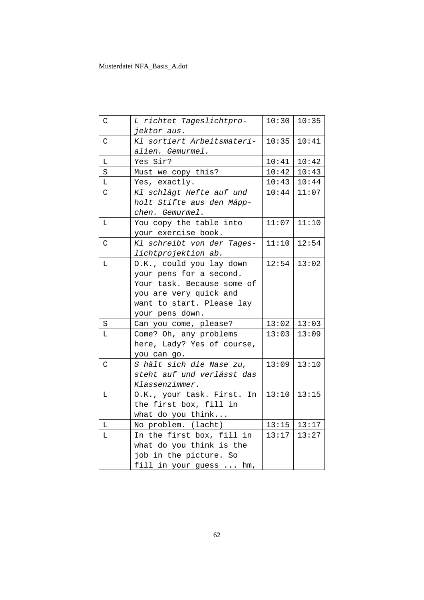| C           | L richtet Tageslichtpro-   | 10:30 | 10:35           |
|-------------|----------------------------|-------|-----------------|
|             | jektor aus.                |       |                 |
| $\mathsf C$ | Kl sortiert Arbeitsmateri- | 10:35 | 10:41           |
|             | alien. Gemurmel.           |       |                 |
| L.          | Yes Sir?                   | 10:41 | 10:42           |
| S           | Must we copy this?         | 10:42 | 10:43           |
| L           | Yes, exactly.              | 10:43 | 10:44           |
| C           | Kl schlägt Hefte auf und   | 10:44 | 11:07           |
|             | holt Stifte aus den Mäpp-  |       |                 |
|             | chen. Gemurmel.            |       |                 |
| $\mathbb L$ | You copy the table into    | 11:07 | 11:10           |
|             | your exercise book.        |       |                 |
| $\mathsf C$ | Kl schreibt von der Tages- | 11:10 | 12:54           |
|             | lichtprojektion ab.        |       |                 |
| L.          | O.K., could you lay down   | 12:54 | 13:02           |
|             | your pens for a second.    |       |                 |
|             | Your task. Because some of |       |                 |
|             | you are very quick and     |       |                 |
|             | want to start. Please lay  |       |                 |
|             | your pens down.            |       |                 |
| S           | Can you come, please?      | 13:02 | 13:03           |
| L           | Come? Oh, any problems     | 13:03 | 13:09           |
|             | here, Lady? Yes of course, |       |                 |
|             | you can go.                |       |                 |
| C           | S hält sich die Nase zu,   | 13:09 | 13:10           |
|             | steht auf und verlässt das |       |                 |
|             | Klassenzimmer.             |       |                 |
| L           | O.K., your task. First. In | 13:10 | 13:15           |
|             | the first box, fill in     |       |                 |
|             | what do you think          |       |                 |
| L           | No problem. (lacht)        |       | $13:15$   13:17 |
| L           | In the first box, fill in  | 13:17 | 13:27           |
|             | what do you think is the   |       |                 |
|             | job in the picture. So     |       |                 |
|             | fill in your guess  hm,    |       |                 |
|             |                            |       |                 |